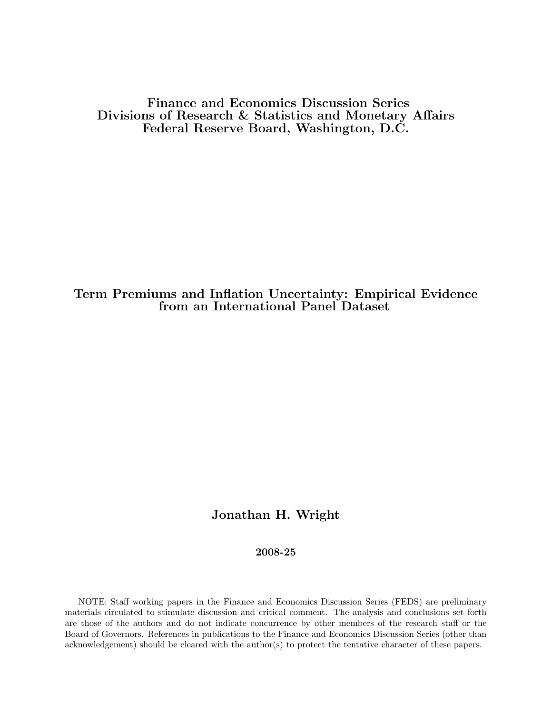Finance and Economics Discussion Series Divisions of Research & Statistics and Monetary Affairs Federal Reserve Board, Washington, D.C.

# Term Premiums and Inflation Uncertainty: Empirical Evidence from an International Panel Dataset

# Jonathan H. Wright

### 2008-25

NOTE: Staff working papers in the Finance and Economics Discussion Series (FEDS) are preliminary materials circulated to stimulate discussion and critical comment. The analysis and conclusions set forth are those of the authors and do not indicate concurrence by other members of the research staff or the Board of Governors. References in publications to the Finance and Economics Discussion Series (other than acknowledgement) should be cleared with the author(s) to protect the tentative character of these papers.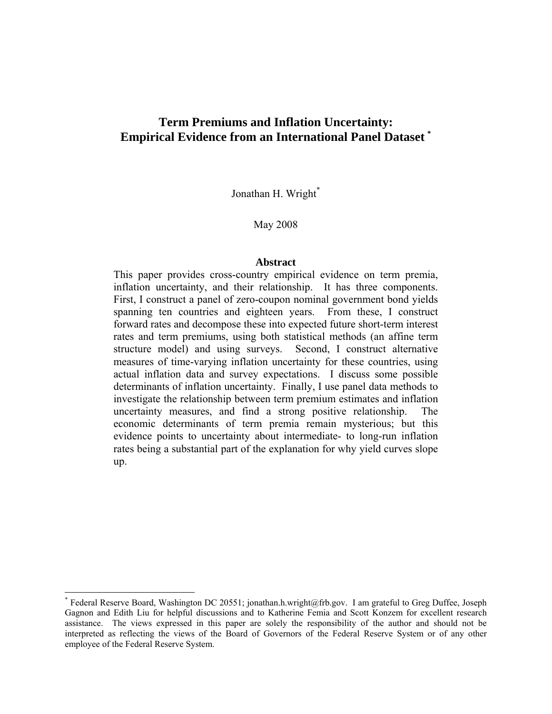# **Term Premiums and Inflation Uncertainty: Empirical Evidence from an International Panel Dataset \***

Jonathan H. Wright\*

May 2008

#### **Abstract**

This paper provides cross-country empirical evidence on term premia, inflation uncertainty, and their relationship. It has three components. First, I construct a panel of zero-coupon nominal government bond yields spanning ten countries and eighteen years. From these, I construct forward rates and decompose these into expected future short-term interest rates and term premiums, using both statistical methods (an affine term structure model) and using surveys. Second, I construct alternative measures of time-varying inflation uncertainty for these countries, using actual inflation data and survey expectations. I discuss some possible determinants of inflation uncertainty. Finally, I use panel data methods to investigate the relationship between term premium estimates and inflation uncertainty measures, and find a strong positive relationship. economic determinants of term premia remain mysterious; but this evidence points to uncertainty about intermediate- to long-run inflation rates being a substantial part of the explanation for why yield curves slope up.

 $\overline{a}$ 

<sup>\*</sup> Federal Reserve Board, Washington DC 20551; jonathan.h.wright@frb.gov. I am grateful to Greg Duffee, Joseph Gagnon and Edith Liu for helpful discussions and to Katherine Femia and Scott Konzem for excellent research assistance. The views expressed in this paper are solely the responsibility of the author and should not be interpreted as reflecting the views of the Board of Governors of the Federal Reserve System or of any other employee of the Federal Reserve System.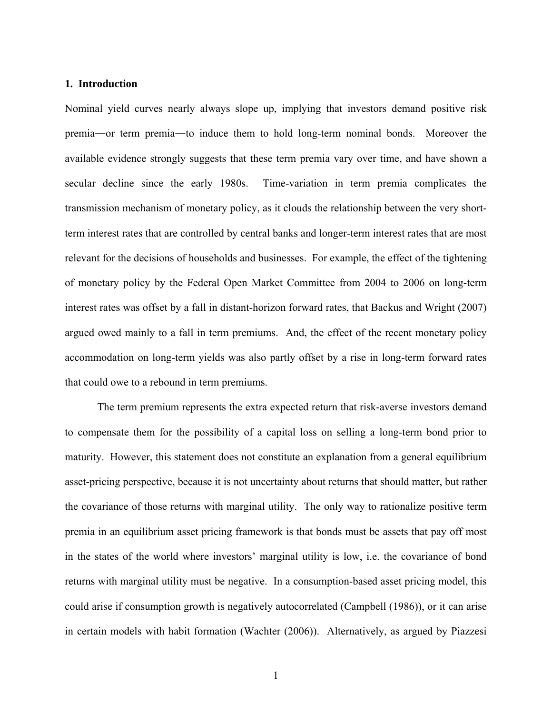#### **1. Introduction**

Nominal yield curves nearly always slope up, implying that investors demand positive risk premia―or term premia―to induce them to hold long-term nominal bonds. Moreover the available evidence strongly suggests that these term premia vary over time, and have shown a secular decline since the early 1980s. Time-variation in term premia complicates the transmission mechanism of monetary policy, as it clouds the relationship between the very shortterm interest rates that are controlled by central banks and longer-term interest rates that are most relevant for the decisions of households and businesses. For example, the effect of the tightening of monetary policy by the Federal Open Market Committee from 2004 to 2006 on long-term interest rates was offset by a fall in distant-horizon forward rates, that Backus and Wright (2007) argued owed mainly to a fall in term premiums. And, the effect of the recent monetary policy accommodation on long-term yields was also partly offset by a rise in long-term forward rates that could owe to a rebound in term premiums.

 The term premium represents the extra expected return that risk-averse investors demand to compensate them for the possibility of a capital loss on selling a long-term bond prior to maturity. However, this statement does not constitute an explanation from a general equilibrium asset-pricing perspective, because it is not uncertainty about returns that should matter, but rather the covariance of those returns with marginal utility. The only way to rationalize positive term premia in an equilibrium asset pricing framework is that bonds must be assets that pay off most in the states of the world where investors' marginal utility is low, i.e. the covariance of bond returns with marginal utility must be negative. In a consumption-based asset pricing model, this could arise if consumption growth is negatively autocorrelated (Campbell (1986)), or it can arise in certain models with habit formation (Wachter (2006)). Alternatively, as argued by Piazzesi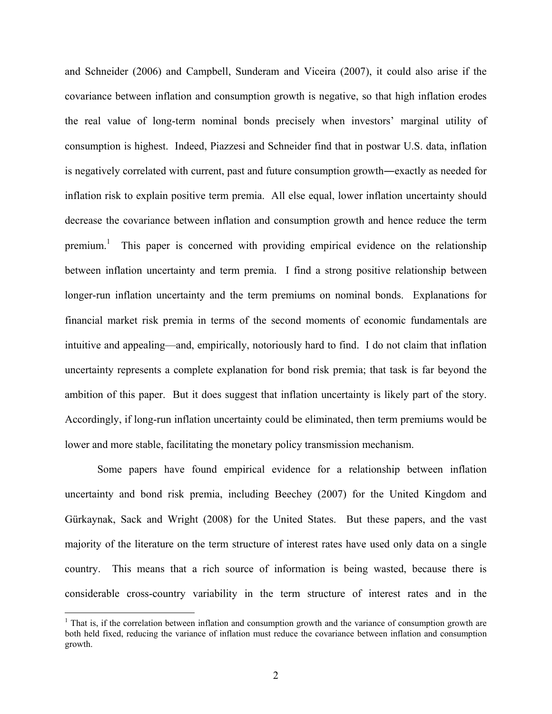and Schneider (2006) and Campbell, Sunderam and Viceira (2007), it could also arise if the covariance between inflation and consumption growth is negative, so that high inflation erodes the real value of long-term nominal bonds precisely when investors' marginal utility of consumption is highest. Indeed, Piazzesi and Schneider find that in postwar U.S. data, inflation is negatively correlated with current, past and future consumption growth―exactly as needed for inflation risk to explain positive term premia. All else equal, lower inflation uncertainty should decrease the covariance between inflation and consumption growth and hence reduce the term premium.<sup>1</sup> This paper is concerned with providing empirical evidence on the relationship between inflation uncertainty and term premia. I find a strong positive relationship between longer-run inflation uncertainty and the term premiums on nominal bonds. Explanations for financial market risk premia in terms of the second moments of economic fundamentals are intuitive and appealing—and, empirically, notoriously hard to find. I do not claim that inflation uncertainty represents a complete explanation for bond risk premia; that task is far beyond the ambition of this paper. But it does suggest that inflation uncertainty is likely part of the story. Accordingly, if long-run inflation uncertainty could be eliminated, then term premiums would be lower and more stable, facilitating the monetary policy transmission mechanism.

Some papers have found empirical evidence for a relationship between inflation uncertainty and bond risk premia, including Beechey (2007) for the United Kingdom and Gürkaynak, Sack and Wright (2008) for the United States. But these papers, and the vast majority of the literature on the term structure of interest rates have used only data on a single country. This means that a rich source of information is being wasted, because there is considerable cross-country variability in the term structure of interest rates and in the

 $\overline{a}$ 

<sup>&</sup>lt;sup>1</sup> That is, if the correlation between inflation and consumption growth and the variance of consumption growth are both held fixed, reducing the variance of inflation must reduce the covariance between inflation and consumption growth.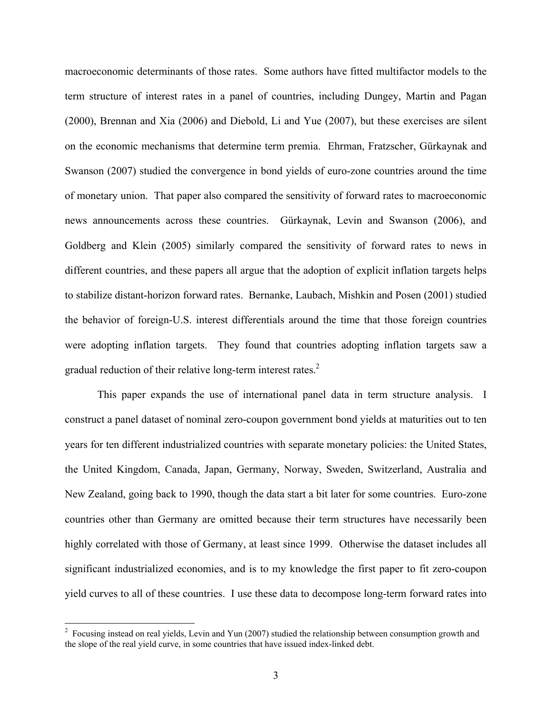macroeconomic determinants of those rates. Some authors have fitted multifactor models to the term structure of interest rates in a panel of countries, including Dungey, Martin and Pagan (2000), Brennan and Xia (2006) and Diebold, Li and Yue (2007), but these exercises are silent on the economic mechanisms that determine term premia. Ehrman, Fratzscher, Gürkaynak and Swanson (2007) studied the convergence in bond yields of euro-zone countries around the time of monetary union. That paper also compared the sensitivity of forward rates to macroeconomic news announcements across these countries. Gürkaynak, Levin and Swanson (2006), and Goldberg and Klein (2005) similarly compared the sensitivity of forward rates to news in different countries, and these papers all argue that the adoption of explicit inflation targets helps to stabilize distant-horizon forward rates. Bernanke, Laubach, Mishkin and Posen (2001) studied the behavior of foreign-U.S. interest differentials around the time that those foreign countries were adopting inflation targets. They found that countries adopting inflation targets saw a gradual reduction of their relative long-term interest rates. $2$ 

This paper expands the use of international panel data in term structure analysis. I construct a panel dataset of nominal zero-coupon government bond yields at maturities out to ten years for ten different industrialized countries with separate monetary policies: the United States, the United Kingdom, Canada, Japan, Germany, Norway, Sweden, Switzerland, Australia and New Zealand, going back to 1990, though the data start a bit later for some countries. Euro-zone countries other than Germany are omitted because their term structures have necessarily been highly correlated with those of Germany, at least since 1999. Otherwise the dataset includes all significant industrialized economies, and is to my knowledge the first paper to fit zero-coupon yield curves to all of these countries. I use these data to decompose long-term forward rates into

 $\overline{a}$ 

 $2^2$  Focusing instead on real yields, Levin and Yun (2007) studied the relationship between consumption growth and the slope of the real yield curve, in some countries that have issued index-linked debt.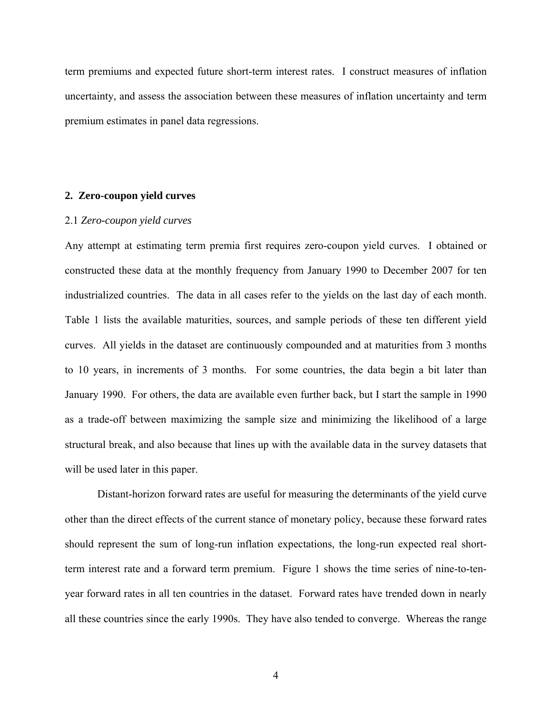term premiums and expected future short-term interest rates. I construct measures of inflation uncertainty, and assess the association between these measures of inflation uncertainty and term premium estimates in panel data regressions.

#### **2. Zero-coupon yield curves**

### 2.1 *Zero-coupon yield curves*

Any attempt at estimating term premia first requires zero-coupon yield curves. I obtained or constructed these data at the monthly frequency from January 1990 to December 2007 for ten industrialized countries. The data in all cases refer to the yields on the last day of each month. Table 1 lists the available maturities, sources, and sample periods of these ten different yield curves. All yields in the dataset are continuously compounded and at maturities from 3 months to 10 years, in increments of 3 months. For some countries, the data begin a bit later than January 1990. For others, the data are available even further back, but I start the sample in 1990 as a trade-off between maximizing the sample size and minimizing the likelihood of a large structural break, and also because that lines up with the available data in the survey datasets that will be used later in this paper.

 Distant-horizon forward rates are useful for measuring the determinants of the yield curve other than the direct effects of the current stance of monetary policy, because these forward rates should represent the sum of long-run inflation expectations, the long-run expected real shortterm interest rate and a forward term premium. Figure 1 shows the time series of nine-to-tenyear forward rates in all ten countries in the dataset. Forward rates have trended down in nearly all these countries since the early 1990s. They have also tended to converge. Whereas the range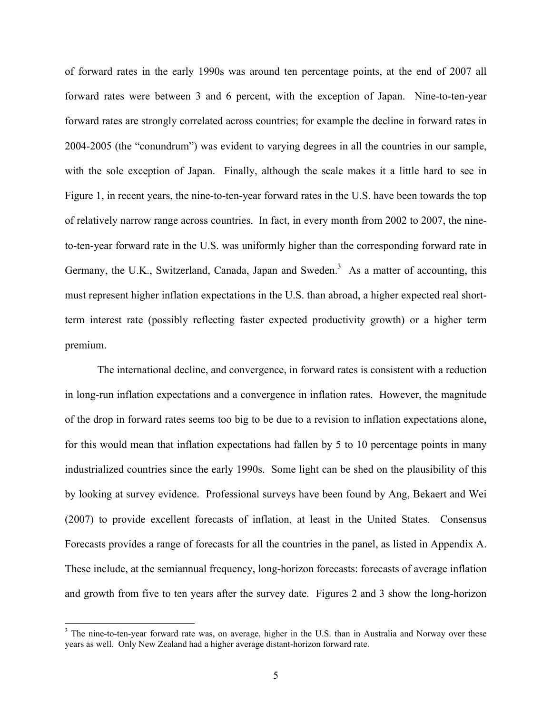of forward rates in the early 1990s was around ten percentage points, at the end of 2007 all forward rates were between 3 and 6 percent, with the exception of Japan. Nine-to-ten-year forward rates are strongly correlated across countries; for example the decline in forward rates in 2004-2005 (the "conundrum") was evident to varying degrees in all the countries in our sample, with the sole exception of Japan. Finally, although the scale makes it a little hard to see in Figure 1, in recent years, the nine-to-ten-year forward rates in the U.S. have been towards the top of relatively narrow range across countries. In fact, in every month from 2002 to 2007, the nineto-ten-year forward rate in the U.S. was uniformly higher than the corresponding forward rate in Germany, the U.K., Switzerland, Canada, Japan and Sweden.<sup>3</sup> As a matter of accounting, this must represent higher inflation expectations in the U.S. than abroad, a higher expected real shortterm interest rate (possibly reflecting faster expected productivity growth) or a higher term premium.

 The international decline, and convergence, in forward rates is consistent with a reduction in long-run inflation expectations and a convergence in inflation rates. However, the magnitude of the drop in forward rates seems too big to be due to a revision to inflation expectations alone, for this would mean that inflation expectations had fallen by 5 to 10 percentage points in many industrialized countries since the early 1990s. Some light can be shed on the plausibility of this by looking at survey evidence. Professional surveys have been found by Ang, Bekaert and Wei (2007) to provide excellent forecasts of inflation, at least in the United States. Consensus Forecasts provides a range of forecasts for all the countries in the panel, as listed in Appendix A. These include, at the semiannual frequency, long-horizon forecasts: forecasts of average inflation and growth from five to ten years after the survey date. Figures 2 and 3 show the long-horizon

 $\overline{a}$ 

 $3$  The nine-to-ten-year forward rate was, on average, higher in the U.S. than in Australia and Norway over these years as well. Only New Zealand had a higher average distant-horizon forward rate.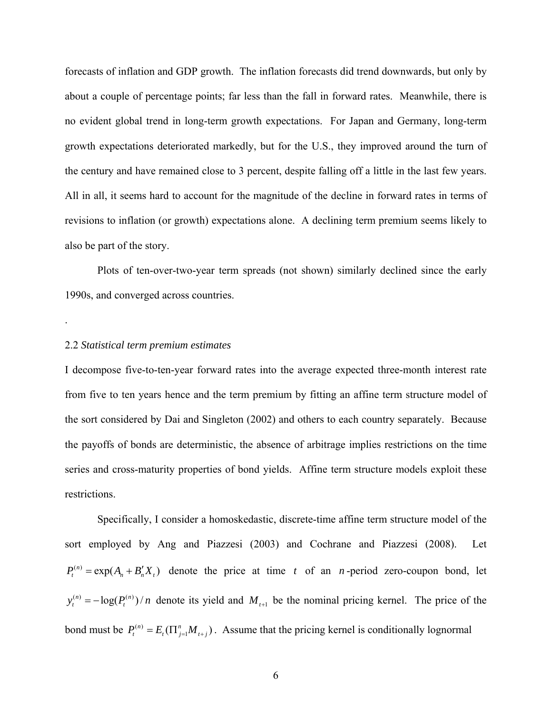forecasts of inflation and GDP growth. The inflation forecasts did trend downwards, but only by about a couple of percentage points; far less than the fall in forward rates. Meanwhile, there is no evident global trend in long-term growth expectations. For Japan and Germany, long-term growth expectations deteriorated markedly, but for the U.S., they improved around the turn of the century and have remained close to 3 percent, despite falling off a little in the last few years. All in all, it seems hard to account for the magnitude of the decline in forward rates in terms of revisions to inflation (or growth) expectations alone. A declining term premium seems likely to also be part of the story.

 Plots of ten-over-two-year term spreads (not shown) similarly declined since the early 1990s, and converged across countries.

### 2.2 *Statistical term premium estimates*

.

I decompose five-to-ten-year forward rates into the average expected three-month interest rate from five to ten years hence and the term premium by fitting an affine term structure model of the sort considered by Dai and Singleton (2002) and others to each country separately. Because the payoffs of bonds are deterministic, the absence of arbitrage implies restrictions on the time series and cross-maturity properties of bond yields. Affine term structure models exploit these restrictions.

 Specifically, I consider a homoskedastic, discrete-time affine term structure model of the sort employed by Ang and Piazzesi (2003) and Cochrane and Piazzesi (2008). Let  $P_t^{(n)} = \exp(A_n + B'_n X_t)$  denote the price at time *t* of an *n*-period zero-coupon bond, let  $y_t^{(n)} = -\log(P_t^{(n)})/n$  denote its yield and  $M_{t+1}$  be the nominal pricing kernel. The price of the bond must be  $P_t^{(n)} = E_t(\prod_{j=1}^n M_{t+j})$ . Assume that the pricing kernel is conditionally lognormal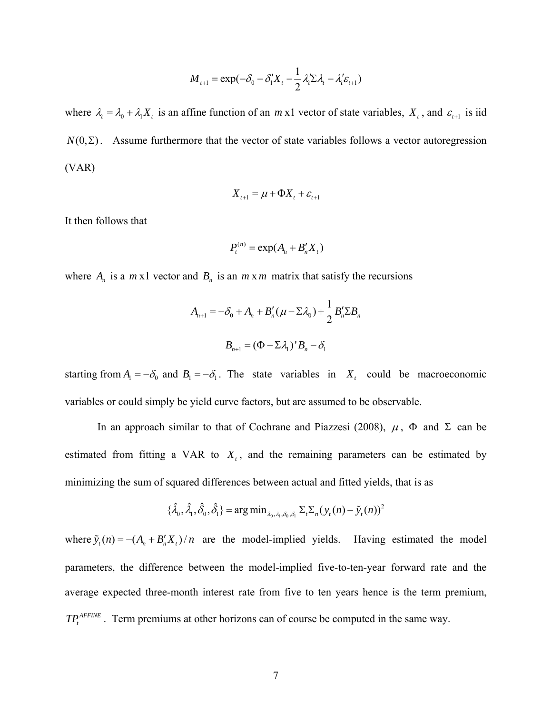$$
M_{t+1} = \exp(-\delta_0 - \delta_1' X_t - \frac{1}{2} \lambda_t' \Sigma \lambda_t - \lambda_t' \varepsilon_{t+1})
$$

where  $\lambda_t = \lambda_0 + \lambda_1 X_t$  is an affine function of an *m* x1 vector of state variables,  $X_t$ , and  $\varepsilon_{t+1}$  is iid  $N(0, \Sigma)$ . Assume furthermore that the vector of state variables follows a vector autoregression (VAR)

$$
X_{t+1} = \mu + \Phi X_t + \varepsilon_{t+1}
$$

It then follows that

$$
P_t^{(n)} = \exp(A_n + B'_n X_t)
$$

where  $A_n$  is a  $m \times 1$  vector and  $B_n$  is an  $m \times m$  matrix that satisfy the recursions

$$
A_{n+1} = -\delta_0 + A_n + B'_n(\mu - \Sigma \lambda_0) + \frac{1}{2} B'_n \Sigma B_n
$$

$$
B_{n+1} = (\Phi - \Sigma \lambda_1)' B_n - \delta_1
$$

starting from  $A_1 = -\delta_0$  and  $B_1 = -\delta_1$ . The state variables in  $X_t$  could be macroeconomic variables or could simply be yield curve factors, but are assumed to be observable.

In an approach similar to that of Cochrane and Piazzesi (2008),  $\mu$ ,  $\Phi$  and  $\Sigma$  can be estimated from fitting a VAR to  $X_t$ , and the remaining parameters can be estimated by minimizing the sum of squared differences between actual and fitted yields, that is as

$$
\{\hat{\lambda}_0, \hat{\lambda}_1, \hat{\delta}_0, \hat{\delta}_1\} = \arg\min_{\lambda_0, \lambda_1, \delta_0, \delta_1} \Sigma_t \Sigma_n (y_t(n) - \tilde{y}_t(n))^2
$$

where  $\tilde{y}_t(n) = -(A_n + B'_n X_t)/n$  are the model-implied yields. Having estimated the model parameters, the difference between the model-implied five-to-ten-year forward rate and the average expected three-month interest rate from five to ten years hence is the term premium,  $TP_t^{AFINE}$ . Term premiums at other horizons can of course be computed in the same way.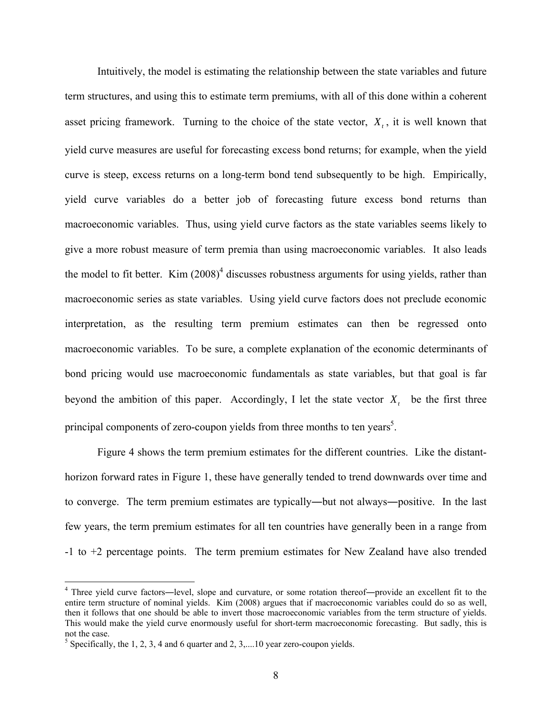Intuitively, the model is estimating the relationship between the state variables and future term structures, and using this to estimate term premiums, with all of this done within a coherent asset pricing framework. Turning to the choice of the state vector,  $X_t$ , it is well known that yield curve measures are useful for forecasting excess bond returns; for example, when the yield curve is steep, excess returns on a long-term bond tend subsequently to be high. Empirically, yield curve variables do a better job of forecasting future excess bond returns than macroeconomic variables. Thus, using yield curve factors as the state variables seems likely to give a more robust measure of term premia than using macroeconomic variables. It also leads the model to fit better. Kim  $(2008)^4$  discusses robustness arguments for using yields, rather than macroeconomic series as state variables. Using yield curve factors does not preclude economic interpretation, as the resulting term premium estimates can then be regressed onto macroeconomic variables. To be sure, a complete explanation of the economic determinants of bond pricing would use macroeconomic fundamentals as state variables, but that goal is far beyond the ambition of this paper. Accordingly, I let the state vector  $X_t$  be the first three principal components of zero-coupon yields from three months to ten years<sup>5</sup>.

Figure 4 shows the term premium estimates for the different countries. Like the distanthorizon forward rates in Figure 1, these have generally tended to trend downwards over time and to converge. The term premium estimates are typically―but not always―positive. In the last few years, the term premium estimates for all ten countries have generally been in a range from -1 to +2 percentage points. The term premium estimates for New Zealand have also trended

1

<sup>&</sup>lt;sup>4</sup> Three yield curve factors—level, slope and curvature, or some rotation thereof—provide an excellent fit to the entire term structure of nominal yields. Kim (2008) argues that if macroeconomic variables could do so as well, then it follows that one should be able to invert those macroeconomic variables from the term structure of yields. This would make the yield curve enormously useful for short-term macroeconomic forecasting. But sadly, this is not the case.

<sup>&</sup>lt;sup>5</sup> Specifically, the 1, 2, 3, 4 and 6 quarter and 2, 3,... 10 year zero-coupon yields.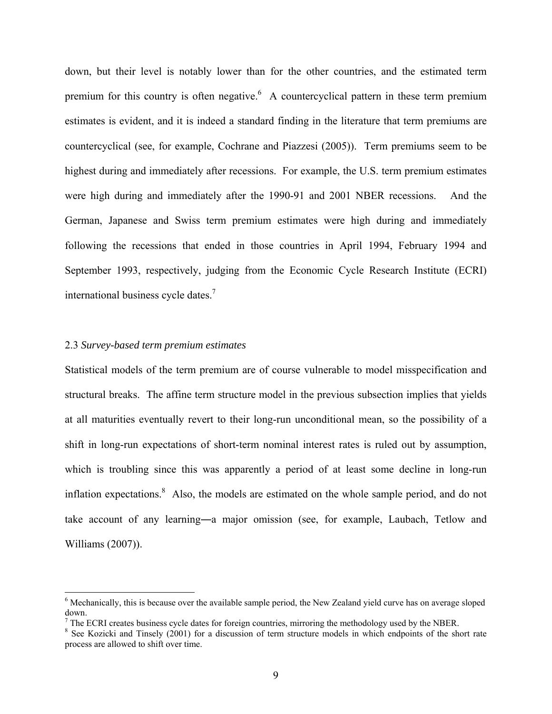down, but their level is notably lower than for the other countries, and the estimated term premium for this country is often negative. A countercyclical pattern in these term premium estimates is evident, and it is indeed a standard finding in the literature that term premiums are countercyclical (see, for example, Cochrane and Piazzesi (2005)). Term premiums seem to be highest during and immediately after recessions. For example, the U.S. term premium estimates were high during and immediately after the 1990-91 and 2001 NBER recessions. And the German, Japanese and Swiss term premium estimates were high during and immediately following the recessions that ended in those countries in April 1994, February 1994 and September 1993, respectively, judging from the Economic Cycle Research Institute (ECRI) international business cycle dates.<sup>7</sup>

## 2.3 *Survey-based term premium estimates*

1

Statistical models of the term premium are of course vulnerable to model misspecification and structural breaks. The affine term structure model in the previous subsection implies that yields at all maturities eventually revert to their long-run unconditional mean, so the possibility of a shift in long-run expectations of short-term nominal interest rates is ruled out by assumption, which is troubling since this was apparently a period of at least some decline in long-run inflation expectations.<sup>8</sup> Also, the models are estimated on the whole sample period, and do not take account of any learning―a major omission (see, for example, Laubach, Tetlow and Williams (2007)).

<sup>&</sup>lt;sup>6</sup> Mechanically, this is because over the available sample period, the New Zealand yield curve has on average sloped down.

 $<sup>7</sup>$  The ECRI creates business cycle dates for foreign countries, mirroring the methodology used by the NBER.</sup>

<sup>&</sup>lt;sup>8</sup> See Kozicki and Tinsely (2001) for a discussion of term structure models in which endpoints of the short rate process are allowed to shift over time.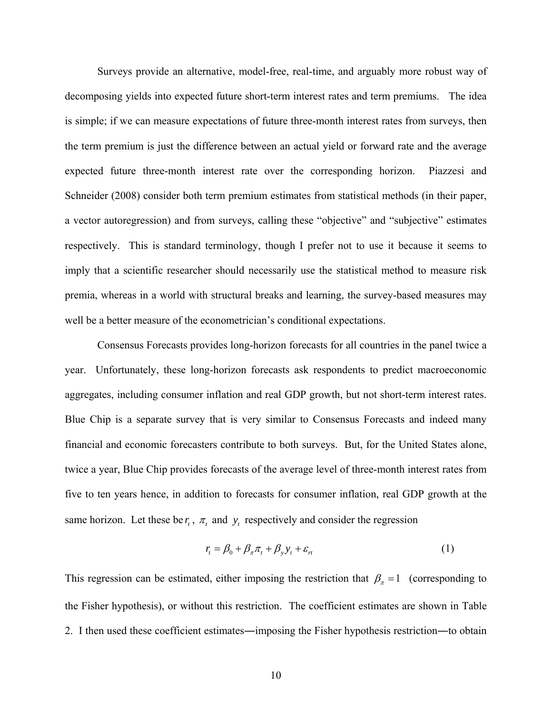Surveys provide an alternative, model-free, real-time, and arguably more robust way of decomposing yields into expected future short-term interest rates and term premiums. The idea is simple; if we can measure expectations of future three-month interest rates from surveys, then the term premium is just the difference between an actual yield or forward rate and the average expected future three-month interest rate over the corresponding horizon. Piazzesi and Schneider (2008) consider both term premium estimates from statistical methods (in their paper, a vector autoregression) and from surveys, calling these "objective" and "subjective" estimates respectively. This is standard terminology, though I prefer not to use it because it seems to imply that a scientific researcher should necessarily use the statistical method to measure risk premia, whereas in a world with structural breaks and learning, the survey-based measures may well be a better measure of the econometrician's conditional expectations.

 Consensus Forecasts provides long-horizon forecasts for all countries in the panel twice a year. Unfortunately, these long-horizon forecasts ask respondents to predict macroeconomic aggregates, including consumer inflation and real GDP growth, but not short-term interest rates. Blue Chip is a separate survey that is very similar to Consensus Forecasts and indeed many financial and economic forecasters contribute to both surveys. But, for the United States alone, twice a year, Blue Chip provides forecasts of the average level of three-month interest rates from five to ten years hence, in addition to forecasts for consumer inflation, real GDP growth at the same horizon. Let these be  $r_t$ ,  $\pi_t$  and  $y_t$  respectively and consider the regression

$$
r_t = \beta_0 + \beta_\pi \pi_t + \beta_y y_t + \varepsilon_n \tag{1}
$$

This regression can be estimated, either imposing the restriction that  $\beta_{\pi} = 1$  (corresponding to the Fisher hypothesis), or without this restriction. The coefficient estimates are shown in Table 2. I then used these coefficient estimates―imposing the Fisher hypothesis restriction―to obtain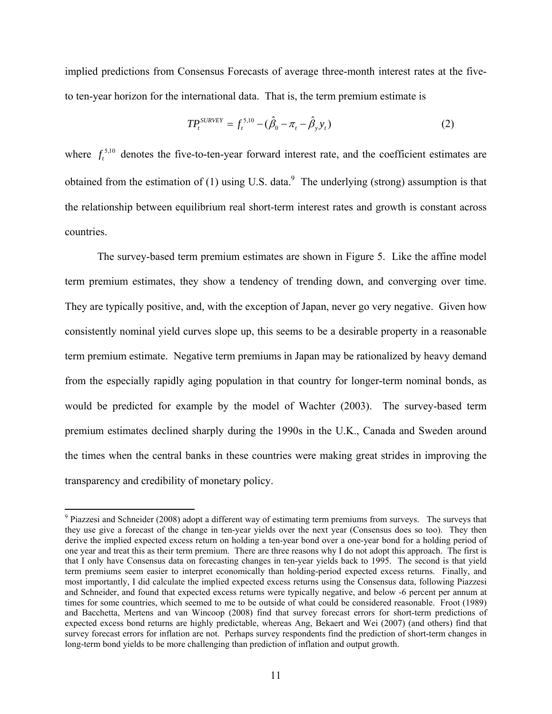implied predictions from Consensus Forecasts of average three-month interest rates at the fiveto ten-year horizon for the international data. That is, the term premium estimate is

$$
TP_t^{SURVEY} = f_t^{5,10} - (\hat{\beta}_0 - \pi_t - \hat{\beta}_y y_t)
$$
 (2)

where  $f_t^{5,10}$  denotes the five-to-ten-year forward interest rate, and the coefficient estimates are obtained from the estimation of (1) using U.S. data.<sup>9</sup> The underlying (strong) assumption is that the relationship between equilibrium real short-term interest rates and growth is constant across countries.

The survey-based term premium estimates are shown in Figure 5. Like the affine model term premium estimates, they show a tendency of trending down, and converging over time. They are typically positive, and, with the exception of Japan, never go very negative. Given how consistently nominal yield curves slope up, this seems to be a desirable property in a reasonable term premium estimate. Negative term premiums in Japan may be rationalized by heavy demand from the especially rapidly aging population in that country for longer-term nominal bonds, as would be predicted for example by the model of Wachter (2003). The survey-based term premium estimates declined sharply during the 1990s in the U.K., Canada and Sweden around the times when the central banks in these countries were making great strides in improving the transparency and credibility of monetary policy.

<sup>&</sup>lt;sup>9</sup> Piazzesi and Schneider (2008) adopt a different way of estimating term premiums from surveys. The surveys that they use give a forecast of the change in ten-year yields over the next year (Consensus does so too). They then derive the implied expected excess return on holding a ten-year bond over a one-year bond for a holding period of one year and treat this as their term premium. There are three reasons why I do not adopt this approach. The first is that I only have Consensus data on forecasting changes in ten-year yields back to 1995. The second is that yield term premiums seem easier to interpret economically than holding-period expected excess returns. Finally, and most importantly, I did calculate the implied expected excess returns using the Consensus data, following Piazzesi and Schneider, and found that expected excess returns were typically negative, and below -6 percent per annum at times for some countries, which seemed to me to be outside of what could be considered reasonable. Froot (1989) and Bacchetta, Mertens and van Wincoop (2008) find that survey forecast errors for short-term predictions of expected excess bond returns are highly predictable, whereas Ang, Bekaert and Wei (2007) (and others) find that survey forecast errors for inflation are not. Perhaps survey respondents find the prediction of short-term changes in long-term bond yields to be more challenging than prediction of inflation and output growth.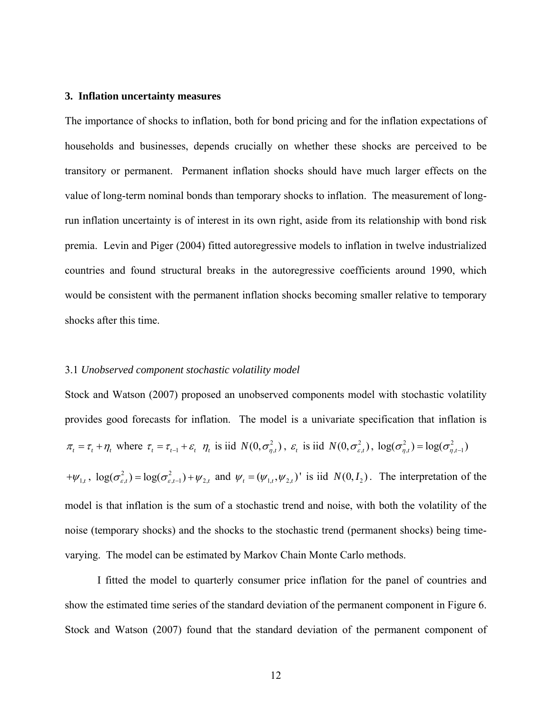#### **3. Inflation uncertainty measures**

The importance of shocks to inflation, both for bond pricing and for the inflation expectations of households and businesses, depends crucially on whether these shocks are perceived to be transitory or permanent. Permanent inflation shocks should have much larger effects on the value of long-term nominal bonds than temporary shocks to inflation. The measurement of longrun inflation uncertainty is of interest in its own right, aside from its relationship with bond risk premia. Levin and Piger (2004) fitted autoregressive models to inflation in twelve industrialized countries and found structural breaks in the autoregressive coefficients around 1990, which would be consistent with the permanent inflation shocks becoming smaller relative to temporary shocks after this time.

#### 3.1 *Unobserved component stochastic volatility model*

Stock and Watson (2007) proposed an unobserved components model with stochastic volatility provides good forecasts for inflation. The model is a univariate specification that inflation is  $\pi_t = \tau_t + \eta_t$ , where  $\tau_t = \tau_{t-1} + \varepsilon_t$ ,  $\eta_t$  is iid  $N(0, \sigma_{\eta,t}^2)$ ,  $\varepsilon_t$  is iid  $N(0, \sigma_{\varepsilon,t}^2)$ ,  $\log(\sigma_{\eta,t}^2) = \log(\sigma_{\eta,t-1}^2)$  $+\psi_{1,t}$ ,  $\log(\sigma_{\varepsilon,t}^2) = \log(\sigma_{\varepsilon,t-1}^2) + \psi_{2,t}$  and  $\psi_t = (\psi_{1,t}, \psi_{2,t})'$  is iid  $N(0, I_2)$ . The interpretation of the model is that inflation is the sum of a stochastic trend and noise, with both the volatility of the noise (temporary shocks) and the shocks to the stochastic trend (permanent shocks) being timevarying. The model can be estimated by Markov Chain Monte Carlo methods.

 I fitted the model to quarterly consumer price inflation for the panel of countries and show the estimated time series of the standard deviation of the permanent component in Figure 6. Stock and Watson (2007) found that the standard deviation of the permanent component of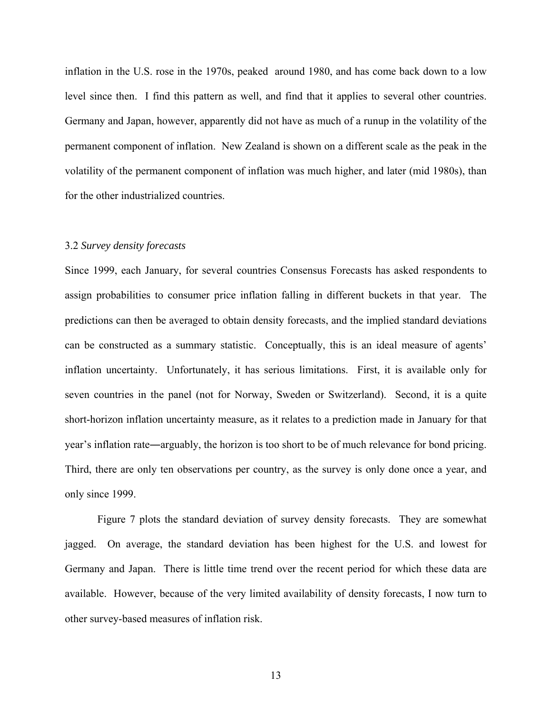inflation in the U.S. rose in the 1970s, peaked around 1980, and has come back down to a low level since then. I find this pattern as well, and find that it applies to several other countries. Germany and Japan, however, apparently did not have as much of a runup in the volatility of the permanent component of inflation. New Zealand is shown on a different scale as the peak in the volatility of the permanent component of inflation was much higher, and later (mid 1980s), than for the other industrialized countries.

#### 3.2 *Survey density forecasts*

Since 1999, each January, for several countries Consensus Forecasts has asked respondents to assign probabilities to consumer price inflation falling in different buckets in that year. The predictions can then be averaged to obtain density forecasts, and the implied standard deviations can be constructed as a summary statistic. Conceptually, this is an ideal measure of agents' inflation uncertainty. Unfortunately, it has serious limitations. First, it is available only for seven countries in the panel (not for Norway, Sweden or Switzerland). Second, it is a quite short-horizon inflation uncertainty measure, as it relates to a prediction made in January for that year's inflation rate―arguably, the horizon is too short to be of much relevance for bond pricing. Third, there are only ten observations per country, as the survey is only done once a year, and only since 1999.

 Figure 7 plots the standard deviation of survey density forecasts. They are somewhat jagged. On average, the standard deviation has been highest for the U.S. and lowest for Germany and Japan. There is little time trend over the recent period for which these data are available. However, because of the very limited availability of density forecasts, I now turn to other survey-based measures of inflation risk.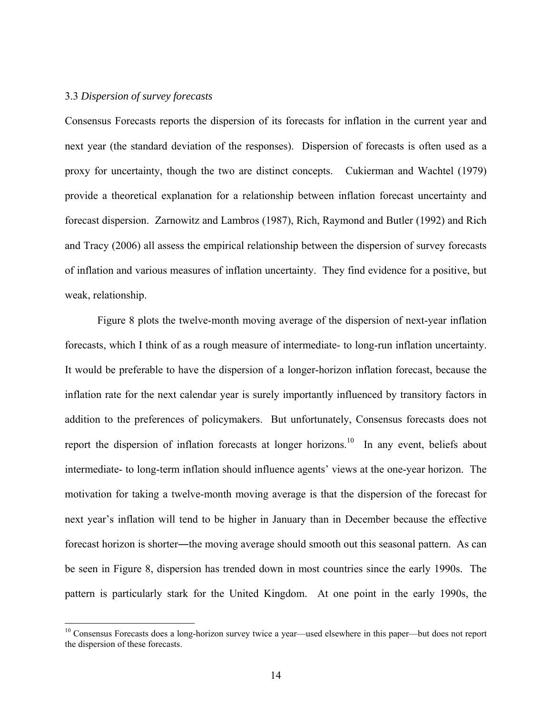#### 3.3 *Dispersion of survey forecasts*

 $\overline{a}$ 

Consensus Forecasts reports the dispersion of its forecasts for inflation in the current year and next year (the standard deviation of the responses). Dispersion of forecasts is often used as a proxy for uncertainty, though the two are distinct concepts. Cukierman and Wachtel (1979) provide a theoretical explanation for a relationship between inflation forecast uncertainty and forecast dispersion. Zarnowitz and Lambros (1987), Rich, Raymond and Butler (1992) and Rich and Tracy (2006) all assess the empirical relationship between the dispersion of survey forecasts of inflation and various measures of inflation uncertainty. They find evidence for a positive, but weak, relationship.

 Figure 8 plots the twelve-month moving average of the dispersion of next-year inflation forecasts, which I think of as a rough measure of intermediate- to long-run inflation uncertainty. It would be preferable to have the dispersion of a longer-horizon inflation forecast, because the inflation rate for the next calendar year is surely importantly influenced by transitory factors in addition to the preferences of policymakers. But unfortunately, Consensus forecasts does not report the dispersion of inflation forecasts at longer horizons.<sup>10</sup> In any event, beliefs about intermediate- to long-term inflation should influence agents' views at the one-year horizon. The motivation for taking a twelve-month moving average is that the dispersion of the forecast for next year's inflation will tend to be higher in January than in December because the effective forecast horizon is shorter―the moving average should smooth out this seasonal pattern. As can be seen in Figure 8, dispersion has trended down in most countries since the early 1990s. The pattern is particularly stark for the United Kingdom. At one point in the early 1990s, the

<sup>&</sup>lt;sup>10</sup> Consensus Forecasts does a long-horizon survey twice a year—used elsewhere in this paper—but does not report the dispersion of these forecasts.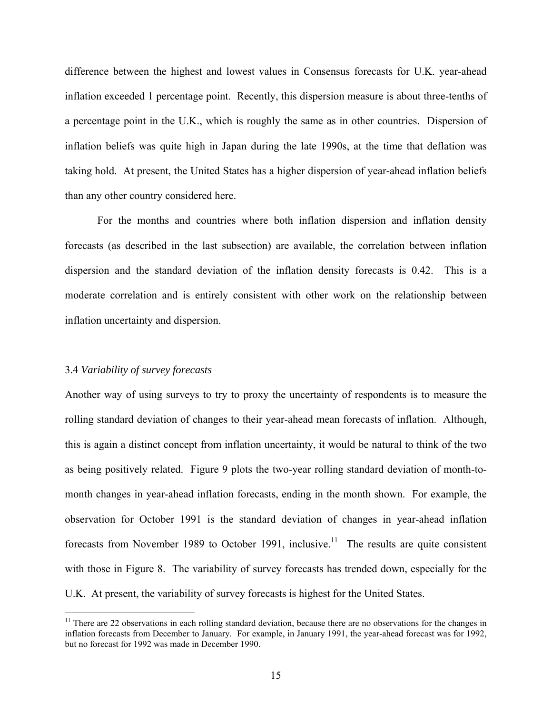difference between the highest and lowest values in Consensus forecasts for U.K. year-ahead inflation exceeded 1 percentage point. Recently, this dispersion measure is about three-tenths of a percentage point in the U.K., which is roughly the same as in other countries. Dispersion of inflation beliefs was quite high in Japan during the late 1990s, at the time that deflation was taking hold. At present, the United States has a higher dispersion of year-ahead inflation beliefs than any other country considered here.

 For the months and countries where both inflation dispersion and inflation density forecasts (as described in the last subsection) are available, the correlation between inflation dispersion and the standard deviation of the inflation density forecasts is 0.42. This is a moderate correlation and is entirely consistent with other work on the relationship between inflation uncertainty and dispersion.

#### 3.4 *Variability of survey forecasts*

1

Another way of using surveys to try to proxy the uncertainty of respondents is to measure the rolling standard deviation of changes to their year-ahead mean forecasts of inflation. Although, this is again a distinct concept from inflation uncertainty, it would be natural to think of the two as being positively related. Figure 9 plots the two-year rolling standard deviation of month-tomonth changes in year-ahead inflation forecasts, ending in the month shown. For example, the observation for October 1991 is the standard deviation of changes in year-ahead inflation forecasts from November 1989 to October 1991, inclusive.<sup>11</sup> The results are quite consistent with those in Figure 8. The variability of survey forecasts has trended down, especially for the U.K. At present, the variability of survey forecasts is highest for the United States.

 $11$  There are 22 observations in each rolling standard deviation, because there are no observations for the changes in inflation forecasts from December to January. For example, in January 1991, the year-ahead forecast was for 1992, but no forecast for 1992 was made in December 1990.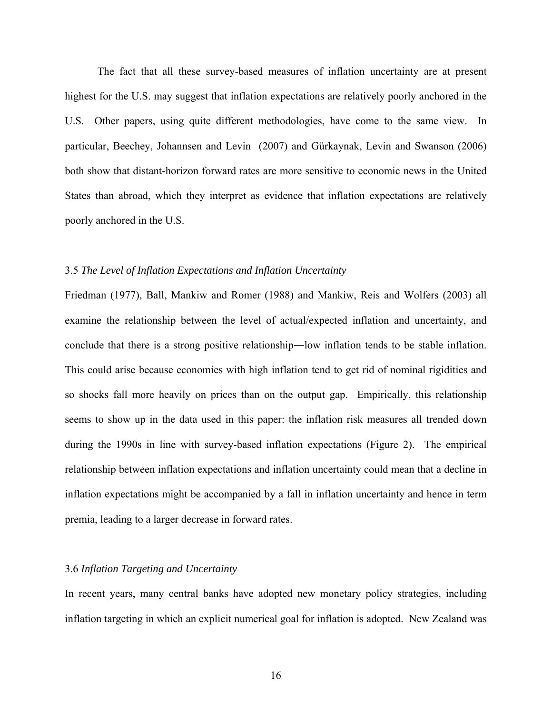The fact that all these survey-based measures of inflation uncertainty are at present highest for the U.S. may suggest that inflation expectations are relatively poorly anchored in the U.S. Other papers, using quite different methodologies, have come to the same view. In particular, Beechey, Johannsen and Levin (2007) and Gürkaynak, Levin and Swanson (2006) both show that distant-horizon forward rates are more sensitive to economic news in the United States than abroad, which they interpret as evidence that inflation expectations are relatively poorly anchored in the U.S.

### 3.5 *The Level of Inflation Expectations and Inflation Uncertainty*

Friedman (1977), Ball, Mankiw and Romer (1988) and Mankiw, Reis and Wolfers (2003) all examine the relationship between the level of actual/expected inflation and uncertainty, and conclude that there is a strong positive relationship―low inflation tends to be stable inflation. This could arise because economies with high inflation tend to get rid of nominal rigidities and so shocks fall more heavily on prices than on the output gap. Empirically, this relationship seems to show up in the data used in this paper: the inflation risk measures all trended down during the 1990s in line with survey-based inflation expectations (Figure 2). The empirical relationship between inflation expectations and inflation uncertainty could mean that a decline in inflation expectations might be accompanied by a fall in inflation uncertainty and hence in term premia, leading to a larger decrease in forward rates.

## 3.6 *Inflation Targeting and Uncertainty*

In recent years, many central banks have adopted new monetary policy strategies, including inflation targeting in which an explicit numerical goal for inflation is adopted. New Zealand was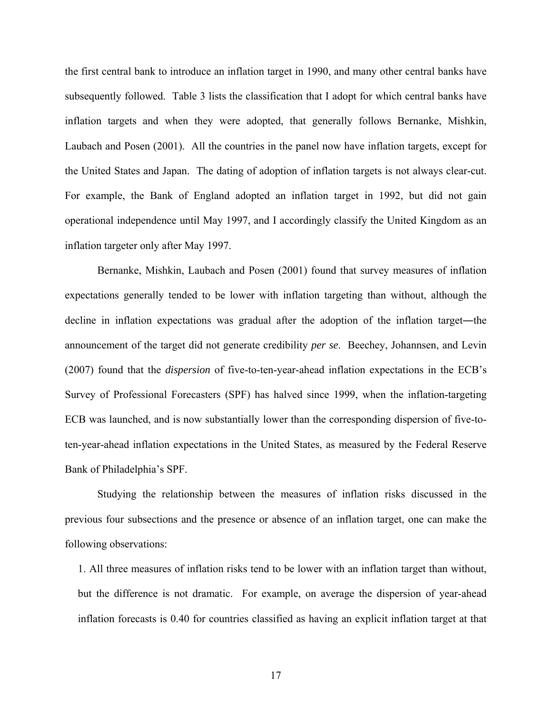the first central bank to introduce an inflation target in 1990, and many other central banks have subsequently followed. Table 3 lists the classification that I adopt for which central banks have inflation targets and when they were adopted, that generally follows Bernanke, Mishkin, Laubach and Posen (2001). All the countries in the panel now have inflation targets, except for the United States and Japan. The dating of adoption of inflation targets is not always clear-cut. For example, the Bank of England adopted an inflation target in 1992, but did not gain operational independence until May 1997, and I accordingly classify the United Kingdom as an inflation targeter only after May 1997.

 Bernanke, Mishkin, Laubach and Posen (2001) found that survey measures of inflation expectations generally tended to be lower with inflation targeting than without, although the decline in inflation expectations was gradual after the adoption of the inflation target―the announcement of the target did not generate credibility *per se*. Beechey, Johannsen, and Levin (2007) found that the *dispersion* of five-to-ten-year-ahead inflation expectations in the ECB's Survey of Professional Forecasters (SPF) has halved since 1999, when the inflation-targeting ECB was launched, and is now substantially lower than the corresponding dispersion of five-toten-year-ahead inflation expectations in the United States, as measured by the Federal Reserve Bank of Philadelphia's SPF.

 Studying the relationship between the measures of inflation risks discussed in the previous four subsections and the presence or absence of an inflation target, one can make the following observations:

1. All three measures of inflation risks tend to be lower with an inflation target than without, but the difference is not dramatic. For example, on average the dispersion of year-ahead inflation forecasts is 0.40 for countries classified as having an explicit inflation target at that

17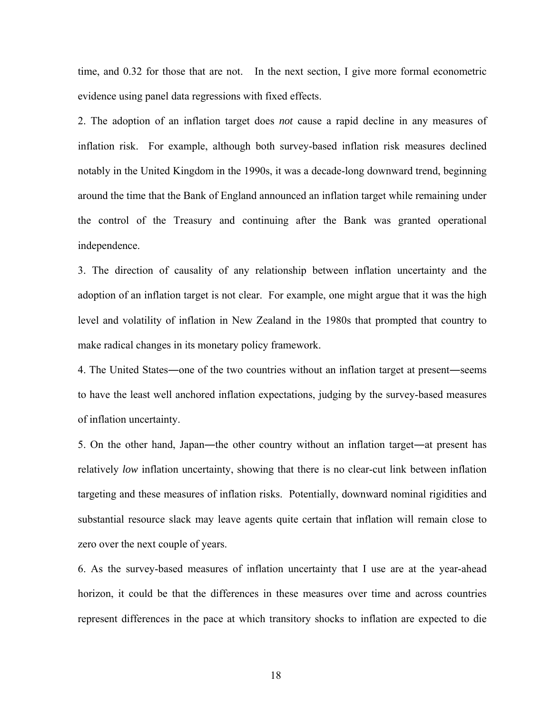time, and 0.32 for those that are not. In the next section, I give more formal econometric evidence using panel data regressions with fixed effects.

2. The adoption of an inflation target does *not* cause a rapid decline in any measures of inflation risk. For example, although both survey-based inflation risk measures declined notably in the United Kingdom in the 1990s, it was a decade-long downward trend, beginning around the time that the Bank of England announced an inflation target while remaining under the control of the Treasury and continuing after the Bank was granted operational independence.

3. The direction of causality of any relationship between inflation uncertainty and the adoption of an inflation target is not clear. For example, one might argue that it was the high level and volatility of inflation in New Zealand in the 1980s that prompted that country to make radical changes in its monetary policy framework.

4. The United States―one of the two countries without an inflation target at present―seems to have the least well anchored inflation expectations, judging by the survey-based measures of inflation uncertainty.

5. On the other hand, Japan—the other country without an inflation target—at present has relatively *low* inflation uncertainty, showing that there is no clear-cut link between inflation targeting and these measures of inflation risks. Potentially, downward nominal rigidities and substantial resource slack may leave agents quite certain that inflation will remain close to zero over the next couple of years.

6. As the survey-based measures of inflation uncertainty that I use are at the year-ahead horizon, it could be that the differences in these measures over time and across countries represent differences in the pace at which transitory shocks to inflation are expected to die

18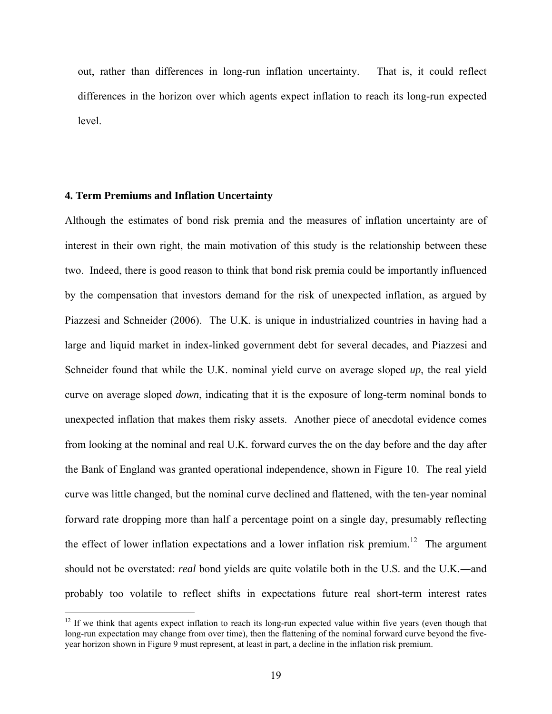out, rather than differences in long-run inflation uncertainty. That is, it could reflect differences in the horizon over which agents expect inflation to reach its long-run expected level.

#### **4. Term Premiums and Inflation Uncertainty**

1

Although the estimates of bond risk premia and the measures of inflation uncertainty are of interest in their own right, the main motivation of this study is the relationship between these two. Indeed, there is good reason to think that bond risk premia could be importantly influenced by the compensation that investors demand for the risk of unexpected inflation, as argued by Piazzesi and Schneider (2006). The U.K. is unique in industrialized countries in having had a large and liquid market in index-linked government debt for several decades, and Piazzesi and Schneider found that while the U.K. nominal yield curve on average sloped *up*, the real yield curve on average sloped *down*, indicating that it is the exposure of long-term nominal bonds to unexpected inflation that makes them risky assets. Another piece of anecdotal evidence comes from looking at the nominal and real U.K. forward curves the on the day before and the day after the Bank of England was granted operational independence, shown in Figure 10. The real yield curve was little changed, but the nominal curve declined and flattened, with the ten-year nominal forward rate dropping more than half a percentage point on a single day, presumably reflecting the effect of lower inflation expectations and a lower inflation risk premium.<sup>12</sup> The argument should not be overstated: *real* bond yields are quite volatile both in the U.S. and the U.K.―and probably too volatile to reflect shifts in expectations future real short-term interest rates

 $12$  If we think that agents expect inflation to reach its long-run expected value within five years (even though that long-run expectation may change from over time), then the flattening of the nominal forward curve beyond the fiveyear horizon shown in Figure 9 must represent, at least in part, a decline in the inflation risk premium.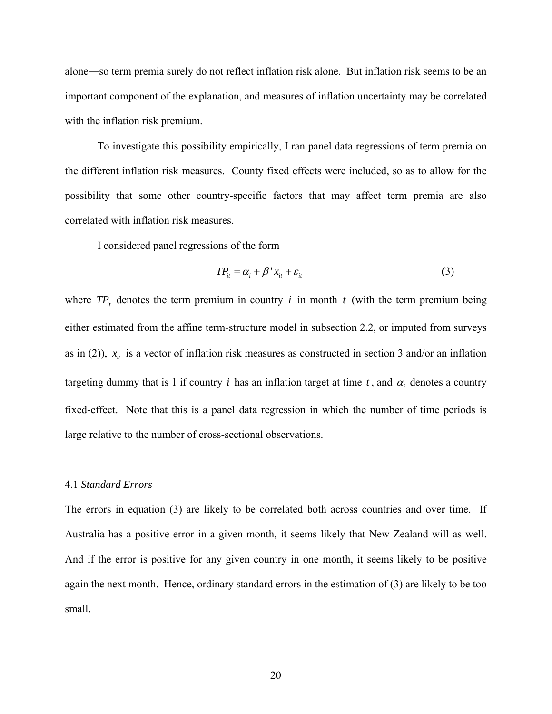alone―so term premia surely do not reflect inflation risk alone. But inflation risk seems to be an important component of the explanation, and measures of inflation uncertainty may be correlated with the inflation risk premium.

 To investigate this possibility empirically, I ran panel data regressions of term premia on the different inflation risk measures. County fixed effects were included, so as to allow for the possibility that some other country-specific factors that may affect term premia are also correlated with inflation risk measures.

I considered panel regressions of the form

$$
TP_{it} = \alpha_i + \beta' x_{it} + \varepsilon_{it}
$$
 (3)

where  $TP_i$  denotes the term premium in country *i* in month *t* (with the term premium being either estimated from the affine term-structure model in subsection 2.2, or imputed from surveys as in (2)),  $x_i$  is a vector of inflation risk measures as constructed in section 3 and/or an inflation targeting dummy that is 1 if country *i* has an inflation target at time  $t$ , and  $\alpha_i$  denotes a country fixed-effect. Note that this is a panel data regression in which the number of time periods is large relative to the number of cross-sectional observations.

#### 4.1 *Standard Errors*

The errors in equation (3) are likely to be correlated both across countries and over time. If Australia has a positive error in a given month, it seems likely that New Zealand will as well. And if the error is positive for any given country in one month, it seems likely to be positive again the next month. Hence, ordinary standard errors in the estimation of (3) are likely to be too small.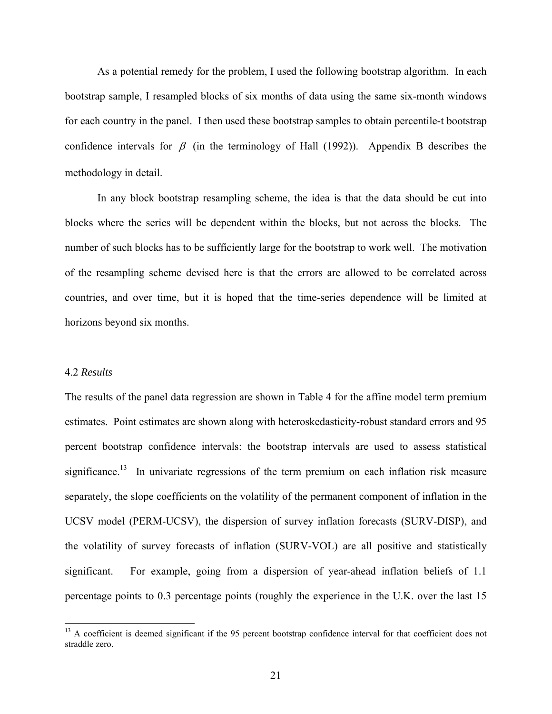As a potential remedy for the problem, I used the following bootstrap algorithm. In each bootstrap sample, I resampled blocks of six months of data using the same six-month windows for each country in the panel. I then used these bootstrap samples to obtain percentile-t bootstrap confidence intervals for  $\beta$  (in the terminology of Hall (1992)). Appendix B describes the methodology in detail.

 In any block bootstrap resampling scheme, the idea is that the data should be cut into blocks where the series will be dependent within the blocks, but not across the blocks. The number of such blocks has to be sufficiently large for the bootstrap to work well. The motivation of the resampling scheme devised here is that the errors are allowed to be correlated across countries, and over time, but it is hoped that the time-series dependence will be limited at horizons beyond six months.

## 4.2 *Results*

 $\overline{a}$ 

The results of the panel data regression are shown in Table 4 for the affine model term premium estimates. Point estimates are shown along with heteroskedasticity-robust standard errors and 95 percent bootstrap confidence intervals: the bootstrap intervals are used to assess statistical significance.<sup>13</sup> In univariate regressions of the term premium on each inflation risk measure separately, the slope coefficients on the volatility of the permanent component of inflation in the UCSV model (PERM-UCSV), the dispersion of survey inflation forecasts (SURV-DISP), and the volatility of survey forecasts of inflation (SURV-VOL) are all positive and statistically significant. For example, going from a dispersion of year-ahead inflation beliefs of 1.1 percentage points to 0.3 percentage points (roughly the experience in the U.K. over the last 15

<sup>&</sup>lt;sup>13</sup> A coefficient is deemed significant if the 95 percent bootstrap confidence interval for that coefficient does not straddle zero.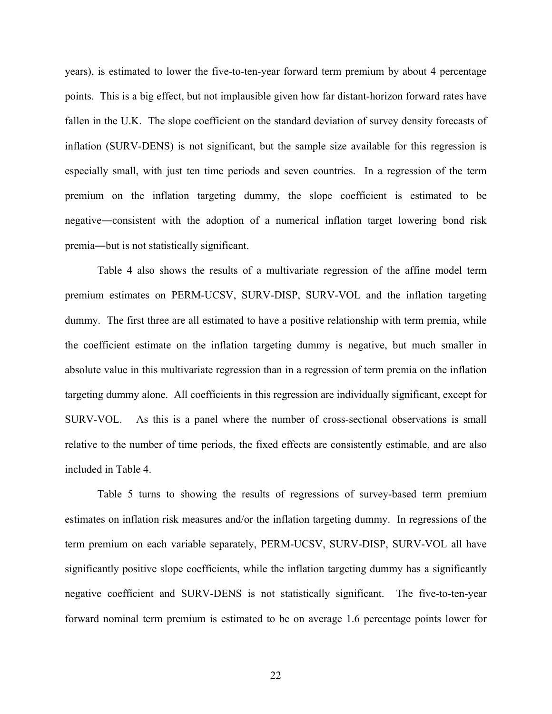years), is estimated to lower the five-to-ten-year forward term premium by about 4 percentage points. This is a big effect, but not implausible given how far distant-horizon forward rates have fallen in the U.K. The slope coefficient on the standard deviation of survey density forecasts of inflation (SURV-DENS) is not significant, but the sample size available for this regression is especially small, with just ten time periods and seven countries. In a regression of the term premium on the inflation targeting dummy, the slope coefficient is estimated to be negative―consistent with the adoption of a numerical inflation target lowering bond risk premia―but is not statistically significant.

 Table 4 also shows the results of a multivariate regression of the affine model term premium estimates on PERM-UCSV, SURV-DISP, SURV-VOL and the inflation targeting dummy. The first three are all estimated to have a positive relationship with term premia, while the coefficient estimate on the inflation targeting dummy is negative, but much smaller in absolute value in this multivariate regression than in a regression of term premia on the inflation targeting dummy alone. All coefficients in this regression are individually significant, except for SURV-VOL. As this is a panel where the number of cross-sectional observations is small relative to the number of time periods, the fixed effects are consistently estimable, and are also included in Table 4.

 Table 5 turns to showing the results of regressions of survey-based term premium estimates on inflation risk measures and/or the inflation targeting dummy. In regressions of the term premium on each variable separately, PERM-UCSV, SURV-DISP, SURV-VOL all have significantly positive slope coefficients, while the inflation targeting dummy has a significantly negative coefficient and SURV-DENS is not statistically significant. The five-to-ten-year forward nominal term premium is estimated to be on average 1.6 percentage points lower for

22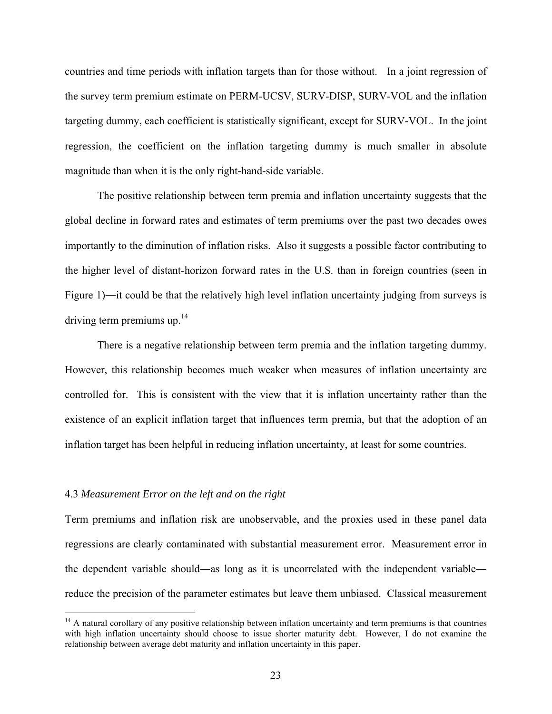countries and time periods with inflation targets than for those without. In a joint regression of the survey term premium estimate on PERM-UCSV, SURV-DISP, SURV-VOL and the inflation targeting dummy, each coefficient is statistically significant, except for SURV-VOL. In the joint regression, the coefficient on the inflation targeting dummy is much smaller in absolute magnitude than when it is the only right-hand-side variable.

 The positive relationship between term premia and inflation uncertainty suggests that the global decline in forward rates and estimates of term premiums over the past two decades owes importantly to the diminution of inflation risks. Also it suggests a possible factor contributing to the higher level of distant-horizon forward rates in the U.S. than in foreign countries (seen in Figure 1)―it could be that the relatively high level inflation uncertainty judging from surveys is driving term premiums up. $14$ 

 There is a negative relationship between term premia and the inflation targeting dummy. However, this relationship becomes much weaker when measures of inflation uncertainty are controlled for. This is consistent with the view that it is inflation uncertainty rather than the existence of an explicit inflation target that influences term premia, but that the adoption of an inflation target has been helpful in reducing inflation uncertainty, at least for some countries.

#### 4.3 *Measurement Error on the left and on the right*

1

Term premiums and inflation risk are unobservable, and the proxies used in these panel data regressions are clearly contaminated with substantial measurement error. Measurement error in the dependent variable should―as long as it is uncorrelated with the independent variable― reduce the precision of the parameter estimates but leave them unbiased. Classical measurement

 $<sup>14</sup>$  A natural corollary of any positive relationship between inflation uncertainty and term premiums is that countries</sup> with high inflation uncertainty should choose to issue shorter maturity debt. However, I do not examine the relationship between average debt maturity and inflation uncertainty in this paper.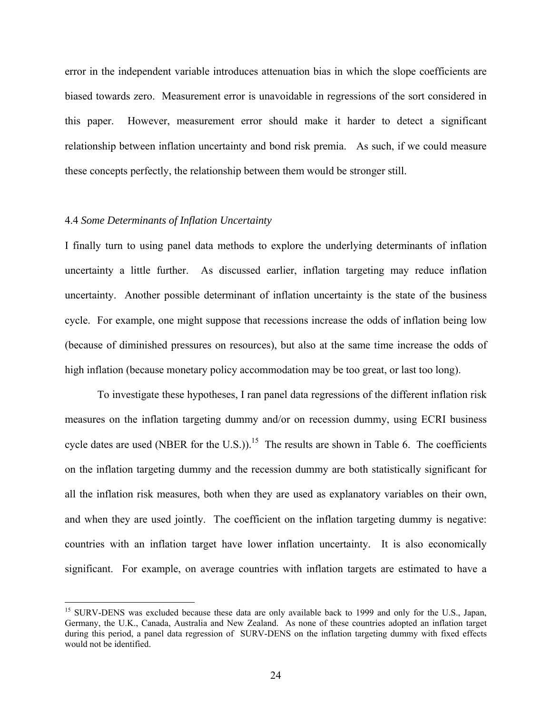error in the independent variable introduces attenuation bias in which the slope coefficients are biased towards zero. Measurement error is unavoidable in regressions of the sort considered in this paper. However, measurement error should make it harder to detect a significant relationship between inflation uncertainty and bond risk premia. As such, if we could measure these concepts perfectly, the relationship between them would be stronger still.

## 4.4 *Some Determinants of Inflation Uncertainty*

<u>.</u>

I finally turn to using panel data methods to explore the underlying determinants of inflation uncertainty a little further. As discussed earlier, inflation targeting may reduce inflation uncertainty. Another possible determinant of inflation uncertainty is the state of the business cycle. For example, one might suppose that recessions increase the odds of inflation being low (because of diminished pressures on resources), but also at the same time increase the odds of high inflation (because monetary policy accommodation may be too great, or last too long).

 To investigate these hypotheses, I ran panel data regressions of the different inflation risk measures on the inflation targeting dummy and/or on recession dummy, using ECRI business cycle dates are used (NBER for the U.S.)).<sup>15</sup> The results are shown in Table 6. The coefficients on the inflation targeting dummy and the recession dummy are both statistically significant for all the inflation risk measures, both when they are used as explanatory variables on their own, and when they are used jointly. The coefficient on the inflation targeting dummy is negative: countries with an inflation target have lower inflation uncertainty. It is also economically significant. For example, on average countries with inflation targets are estimated to have a

<sup>&</sup>lt;sup>15</sup> SURV-DENS was excluded because these data are only available back to 1999 and only for the U.S., Japan, Germany, the U.K., Canada, Australia and New Zealand. As none of these countries adopted an inflation target during this period, a panel data regression of SURV-DENS on the inflation targeting dummy with fixed effects would not be identified.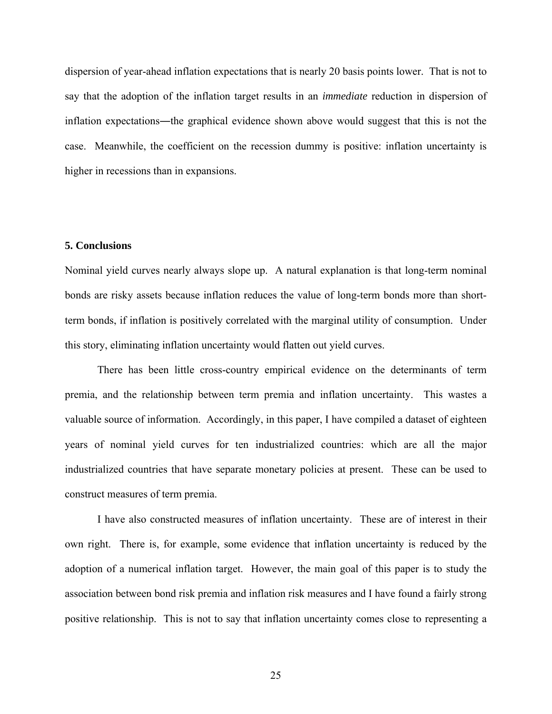dispersion of year-ahead inflation expectations that is nearly 20 basis points lower. That is not to say that the adoption of the inflation target results in an *immediate* reduction in dispersion of inflation expectations―the graphical evidence shown above would suggest that this is not the case. Meanwhile, the coefficient on the recession dummy is positive: inflation uncertainty is higher in recessions than in expansions.

## **5. Conclusions**

Nominal yield curves nearly always slope up. A natural explanation is that long-term nominal bonds are risky assets because inflation reduces the value of long-term bonds more than shortterm bonds, if inflation is positively correlated with the marginal utility of consumption. Under this story, eliminating inflation uncertainty would flatten out yield curves.

 There has been little cross-country empirical evidence on the determinants of term premia, and the relationship between term premia and inflation uncertainty. This wastes a valuable source of information. Accordingly, in this paper, I have compiled a dataset of eighteen years of nominal yield curves for ten industrialized countries: which are all the major industrialized countries that have separate monetary policies at present. These can be used to construct measures of term premia.

 I have also constructed measures of inflation uncertainty. These are of interest in their own right. There is, for example, some evidence that inflation uncertainty is reduced by the adoption of a numerical inflation target. However, the main goal of this paper is to study the association between bond risk premia and inflation risk measures and I have found a fairly strong positive relationship. This is not to say that inflation uncertainty comes close to representing a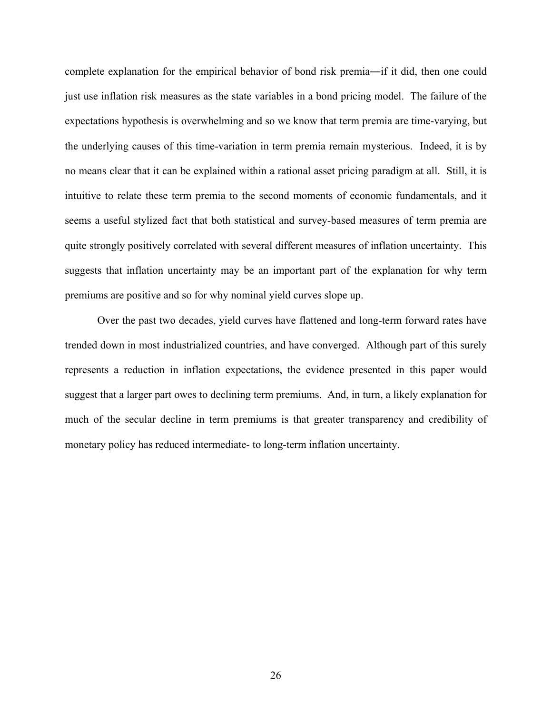complete explanation for the empirical behavior of bond risk premia―if it did, then one could just use inflation risk measures as the state variables in a bond pricing model. The failure of the expectations hypothesis is overwhelming and so we know that term premia are time-varying, but the underlying causes of this time-variation in term premia remain mysterious. Indeed, it is by no means clear that it can be explained within a rational asset pricing paradigm at all. Still, it is intuitive to relate these term premia to the second moments of economic fundamentals, and it seems a useful stylized fact that both statistical and survey-based measures of term premia are quite strongly positively correlated with several different measures of inflation uncertainty. This suggests that inflation uncertainty may be an important part of the explanation for why term premiums are positive and so for why nominal yield curves slope up.

 Over the past two decades, yield curves have flattened and long-term forward rates have trended down in most industrialized countries, and have converged. Although part of this surely represents a reduction in inflation expectations, the evidence presented in this paper would suggest that a larger part owes to declining term premiums. And, in turn, a likely explanation for much of the secular decline in term premiums is that greater transparency and credibility of monetary policy has reduced intermediate- to long-term inflation uncertainty.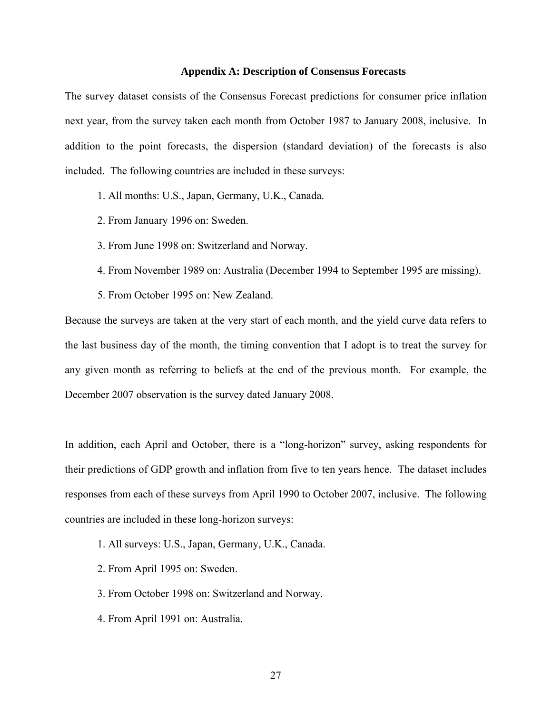## **Appendix A: Description of Consensus Forecasts**

The survey dataset consists of the Consensus Forecast predictions for consumer price inflation next year, from the survey taken each month from October 1987 to January 2008, inclusive. In addition to the point forecasts, the dispersion (standard deviation) of the forecasts is also included. The following countries are included in these surveys:

- 1. All months: U.S., Japan, Germany, U.K., Canada.
- 2. From January 1996 on: Sweden.
- 3. From June 1998 on: Switzerland and Norway.
- 4. From November 1989 on: Australia (December 1994 to September 1995 are missing).
- 5. From October 1995 on: New Zealand.

Because the surveys are taken at the very start of each month, and the yield curve data refers to the last business day of the month, the timing convention that I adopt is to treat the survey for any given month as referring to beliefs at the end of the previous month. For example, the December 2007 observation is the survey dated January 2008.

In addition, each April and October, there is a "long-horizon" survey, asking respondents for their predictions of GDP growth and inflation from five to ten years hence. The dataset includes responses from each of these surveys from April 1990 to October 2007, inclusive. The following countries are included in these long-horizon surveys:

- 1. All surveys: U.S., Japan, Germany, U.K., Canada.
- 2. From April 1995 on: Sweden.
- 3. From October 1998 on: Switzerland and Norway.
- 4. From April 1991 on: Australia.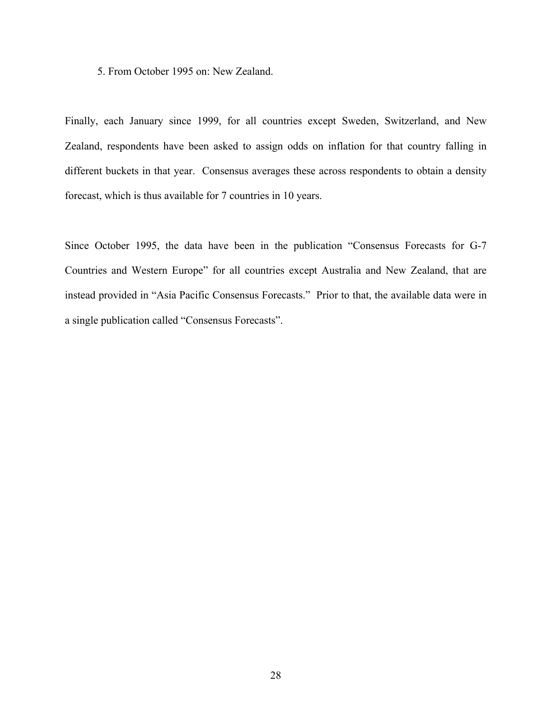5. From October 1995 on: New Zealand.

Finally, each January since 1999, for all countries except Sweden, Switzerland, and New Zealand, respondents have been asked to assign odds on inflation for that country falling in different buckets in that year. Consensus averages these across respondents to obtain a density forecast, which is thus available for 7 countries in 10 years.

Since October 1995, the data have been in the publication "Consensus Forecasts for G-7 Countries and Western Europe" for all countries except Australia and New Zealand, that are instead provided in "Asia Pacific Consensus Forecasts." Prior to that, the available data were in a single publication called "Consensus Forecasts".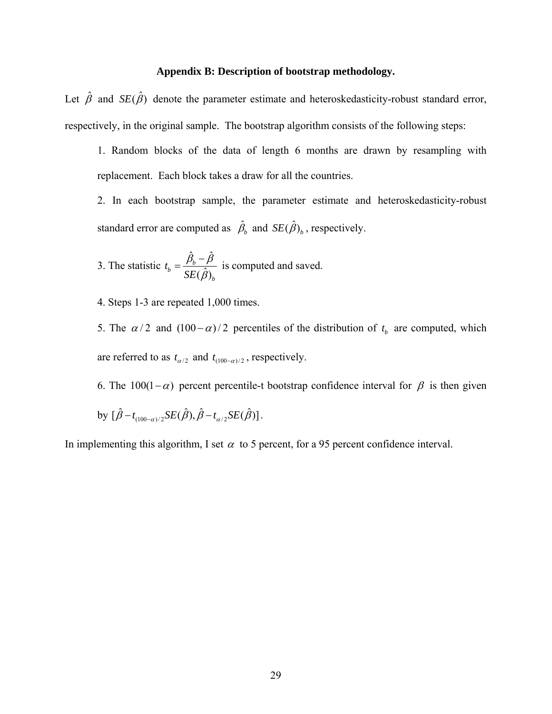## **Appendix B: Description of bootstrap methodology.**

Let  $\hat{\beta}$  and  $SE(\hat{\beta})$  denote the parameter estimate and heteroskedasticity-robust standard error, respectively, in the original sample. The bootstrap algorithm consists of the following steps:

1. Random blocks of the data of length 6 months are drawn by resampling with replacement. Each block takes a draw for all the countries.

2. In each bootstrap sample, the parameter estimate and heteroskedasticity-robust standard error are computed as  $\hat{\beta}_b$  and  $SE(\hat{\beta})_b$ , respectively.

3. The statistic 
$$
t_b = \frac{\hat{\beta}_b - \hat{\beta}}{SE(\hat{\beta})_b}
$$
 is computed and saved.

4. Steps 1-3 are repeated 1,000 times.

5. The  $\alpha/2$  and  $(100 - \alpha)/2$  percentiles of the distribution of  $t<sub>b</sub>$  are computed, which are referred to as  $t_{\alpha/2}$  and  $t_{(100-\alpha)/2}$ , respectively.

6. The 100(1- $\alpha$ ) percent percentile-t bootstrap confidence interval for  $\beta$  is then given

by  $[\hat{\beta} - t_{(100-\alpha)/2} S E(\hat{\beta}), \hat{\beta} - t_{\alpha/2} S E(\hat{\beta})]$ .

In implementing this algorithm, I set  $\alpha$  to 5 percent, for a 95 percent confidence interval.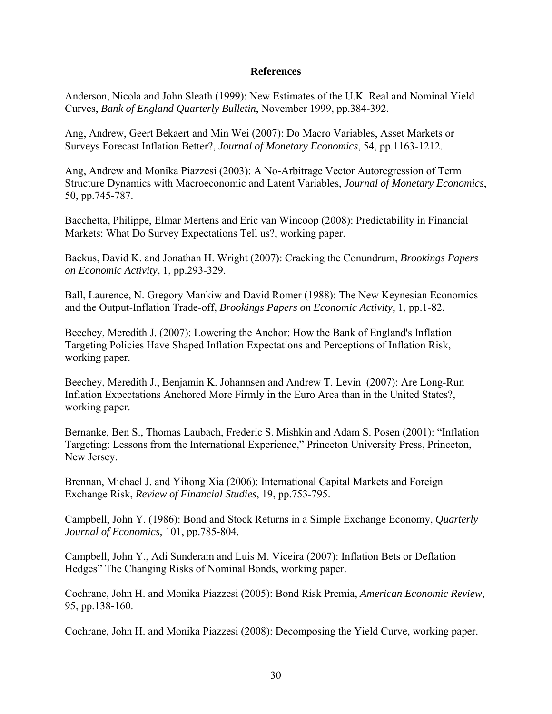## **References**

Anderson, Nicola and John Sleath (1999): New Estimates of the U.K. Real and Nominal Yield Curves, *Bank of England Quarterly Bulletin*, November 1999, pp.384-392.

Ang, Andrew, Geert Bekaert and Min Wei (2007): Do Macro Variables, Asset Markets or Surveys Forecast Inflation Better?, *Journal of Monetary Economics*, 54, pp.1163-1212.

Ang, Andrew and Monika Piazzesi (2003): A No-Arbitrage Vector Autoregression of Term Structure Dynamics with Macroeconomic and Latent Variables, *Journal of Monetary Economics*, 50, pp.745-787.

Bacchetta, Philippe, Elmar Mertens and Eric van Wincoop (2008): Predictability in Financial Markets: What Do Survey Expectations Tell us?, working paper.

Backus, David K. and Jonathan H. Wright (2007): Cracking the Conundrum, *Brookings Papers on Economic Activity*, 1, pp.293-329.

Ball, Laurence, N. Gregory Mankiw and David Romer (1988): The New Keynesian Economics and the Output-Inflation Trade-off, *Brookings Papers on Economic Activity*, 1, pp.1-82.

Beechey, Meredith J. (2007): Lowering the Anchor: How the Bank of England's Inflation Targeting Policies Have Shaped Inflation Expectations and Perceptions of Inflation Risk, working paper.

Beechey, Meredith J., Benjamin K. Johannsen and Andrew T. Levin (2007): Are Long-Run Inflation Expectations Anchored More Firmly in the Euro Area than in the United States?, working paper.

Bernanke, Ben S., Thomas Laubach, Frederic S. Mishkin and Adam S. Posen (2001): "Inflation Targeting: Lessons from the International Experience," Princeton University Press, Princeton, New Jersey.

Brennan, Michael J. and Yihong Xia (2006): International Capital Markets and Foreign Exchange Risk, *Review of Financial Studies*, 19, pp.753-795.

Campbell, John Y. (1986): Bond and Stock Returns in a Simple Exchange Economy, *Quarterly Journal of Economics*, 101, pp.785-804.

Campbell, John Y., Adi Sunderam and Luis M. Viceira (2007): Inflation Bets or Deflation Hedges" The Changing Risks of Nominal Bonds, working paper.

Cochrane, John H. and Monika Piazzesi (2005): Bond Risk Premia, *American Economic Review*, 95, pp.138-160.

Cochrane, John H. and Monika Piazzesi (2008): Decomposing the Yield Curve, working paper.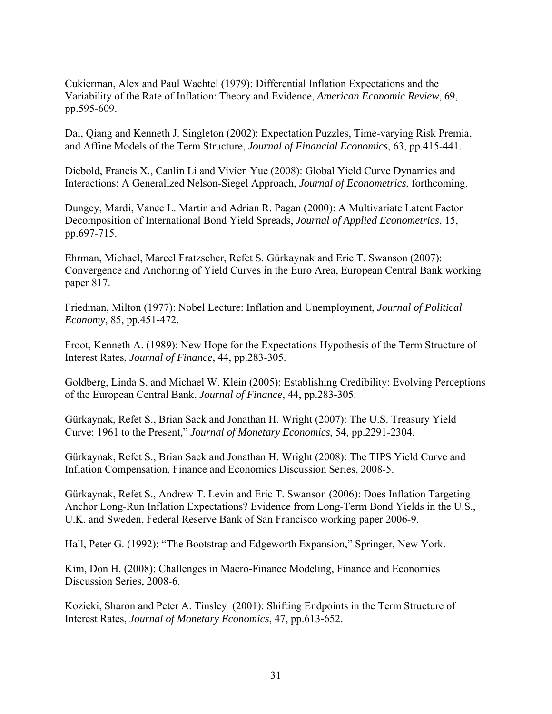Cukierman, Alex and Paul Wachtel (1979): Differential Inflation Expectations and the Variability of the Rate of Inflation: Theory and Evidence, *American Economic Review*, 69, pp.595-609.

Dai, Qiang and Kenneth J. Singleton (2002): Expectation Puzzles, Time-varying Risk Premia, and Affine Models of the Term Structure, *Journal of Financial Economics*, 63, pp.415-441.

Diebold, Francis X., Canlin Li and Vivien Yue (2008): Global Yield Curve Dynamics and Interactions: A Generalized Nelson-Siegel Approach, *Journal of Econometrics*, forthcoming.

Dungey, Mardi, Vance L. Martin and Adrian R. Pagan (2000): A Multivariate Latent Factor Decomposition of International Bond Yield Spreads, *Journal of Applied Econometrics*, 15, pp.697-715.

Ehrman, Michael, Marcel Fratzscher, Refet S. Gürkaynak and Eric T. Swanson (2007): Convergence and Anchoring of Yield Curves in the Euro Area, European Central Bank working paper 817.

Friedman, Milton (1977): Nobel Lecture: Inflation and Unemployment, *Journal of Political Economy*, 85, pp.451-472.

Froot, Kenneth A. (1989): New Hope for the Expectations Hypothesis of the Term Structure of Interest Rates, *Journal of Finance*, 44, pp.283-305.

Goldberg, Linda S, and Michael W. Klein (2005): Establishing Credibility: Evolving Perceptions of the European Central Bank, *Journal of Finance*, 44, pp.283-305.

Gürkaynak, Refet S., Brian Sack and Jonathan H. Wright (2007): The U.S. Treasury Yield Curve: 1961 to the Present," *Journal of Monetary Economics*, 54, pp.2291-2304.

Gürkaynak, Refet S., Brian Sack and Jonathan H. Wright (2008): The TIPS Yield Curve and Inflation Compensation, Finance and Economics Discussion Series, 2008-5.

Gürkaynak, Refet S., Andrew T. Levin and Eric T. Swanson (2006): Does Inflation Targeting Anchor Long-Run Inflation Expectations? Evidence from Long-Term Bond Yields in the U.S., U.K. and Sweden, Federal Reserve Bank of San Francisco working paper 2006-9.

Hall, Peter G. (1992): "The Bootstrap and Edgeworth Expansion," Springer, New York.

Kim, Don H. (2008): Challenges in Macro-Finance Modeling, Finance and Economics Discussion Series, 2008-6.

Kozicki, Sharon and Peter A. Tinsley (2001): Shifting Endpoints in the Term Structure of Interest Rates, *Journal of Monetary Economics*, 47, pp.613-652.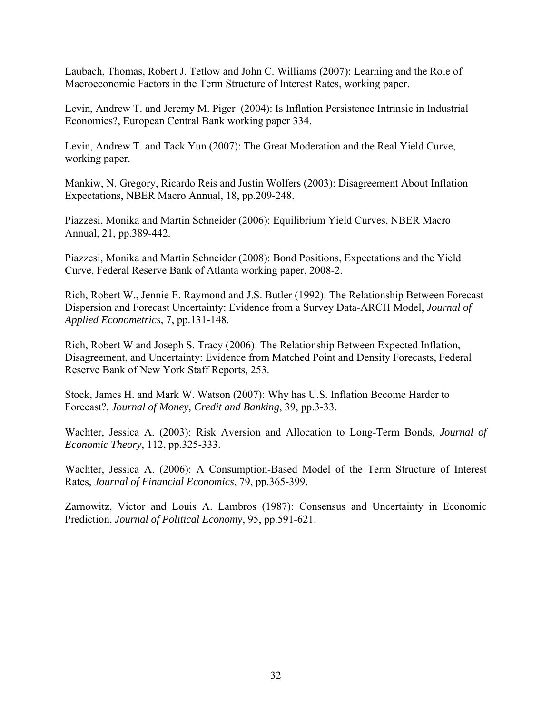Laubach, Thomas, Robert J. Tetlow and John C. Williams (2007): Learning and the Role of Macroeconomic Factors in the Term Structure of Interest Rates, working paper.

Levin, Andrew T. and Jeremy M. Piger (2004): Is Inflation Persistence Intrinsic in Industrial Economies?, European Central Bank working paper 334.

Levin, Andrew T. and Tack Yun (2007): The Great Moderation and the Real Yield Curve, working paper.

Mankiw, N. Gregory, Ricardo Reis and Justin Wolfers (2003): Disagreement About Inflation Expectations, NBER Macro Annual, 18, pp.209-248.

Piazzesi, Monika and Martin Schneider (2006): Equilibrium Yield Curves, NBER Macro Annual, 21, pp.389-442.

Piazzesi, Monika and Martin Schneider (2008): Bond Positions, Expectations and the Yield Curve, Federal Reserve Bank of Atlanta working paper, 2008-2.

Rich, Robert W., Jennie E. Raymond and J.S. Butler (1992): The Relationship Between Forecast Dispersion and Forecast Uncertainty: Evidence from a Survey Data-ARCH Model, *Journal of Applied Econometrics*, 7, pp.131-148.

Rich, Robert W and Joseph S. Tracy (2006): The Relationship Between Expected Inflation, Disagreement, and Uncertainty: Evidence from Matched Point and Density Forecasts, Federal Reserve Bank of New York Staff Reports, 253.

Stock, James H. and Mark W. Watson (2007): Why has U.S. Inflation Become Harder to Forecast?, *Journal of Money, Credit and Banking*, 39, pp.3-33.

Wachter, Jessica A. (2003): Risk Aversion and Allocation to Long-Term Bonds, *Journal of Economic Theory*, 112, pp.325-333.

Wachter, Jessica A. (2006): A Consumption-Based Model of the Term Structure of Interest Rates, *Journal of Financial Economics*, 79, pp.365-399.

Zarnowitz, Victor and Louis A. Lambros (1987): Consensus and Uncertainty in Economic Prediction, *Journal of Political Economy*, 95, pp.591-621.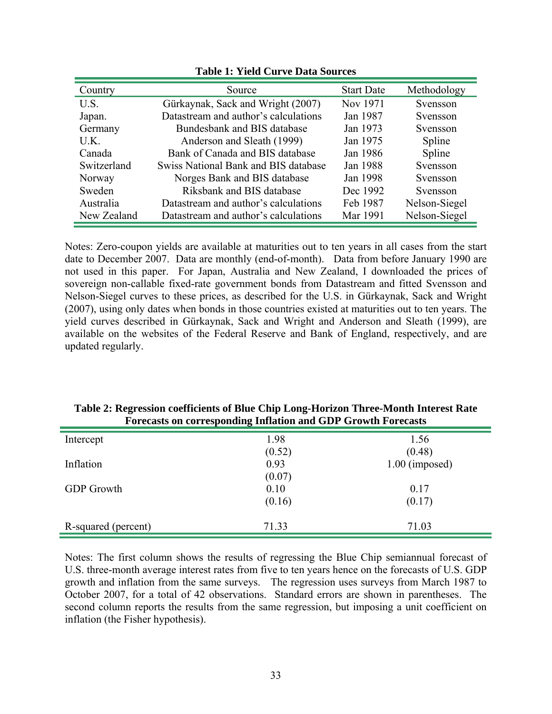| Country     | Source                               | <b>Start Date</b> | Methodology   |
|-------------|--------------------------------------|-------------------|---------------|
| U.S.        | Gürkaynak, Sack and Wright (2007)    | Nov 1971          | Svensson      |
| Japan.      | Datastream and author's calculations | Jan 1987          | Svensson      |
| Germany     | Bundesbank and BIS database          | Jan 1973          | Svensson      |
| U.K.        | Anderson and Sleath (1999)           | Jan 1975          | Spline        |
| Canada      | Bank of Canada and BIS database      | Jan 1986          | Spline        |
| Switzerland | Swiss National Bank and BIS database | Jan 1988          | Svensson      |
| Norway      | Norges Bank and BIS database         | Jan 1998          | Svensson      |
| Sweden      | Riksbank and BIS database            | Dec 1992          | Svensson      |
| Australia   | Datastream and author's calculations | Feb 1987          | Nelson-Siegel |
| New Zealand | Datastream and author's calculations | Mar 1991          | Nelson-Siegel |

**Table 1: Yield Curve Data Sources** 

Notes: Zero-coupon yields are available at maturities out to ten years in all cases from the start date to December 2007. Data are monthly (end-of-month). Data from before January 1990 are not used in this paper. For Japan, Australia and New Zealand, I downloaded the prices of sovereign non-callable fixed-rate government bonds from Datastream and fitted Svensson and Nelson-Siegel curves to these prices, as described for the U.S. in Gürkaynak, Sack and Wright (2007), using only dates when bonds in those countries existed at maturities out to ten years. The yield curves described in Gürkaynak, Sack and Wright and Anderson and Sleath (1999), are available on the websites of the Federal Reserve and Bank of England, respectively, and are updated regularly.

| Forecasts on corresponding initiation and GDP Growth Forecasts |        |                  |  |  |
|----------------------------------------------------------------|--------|------------------|--|--|
| Intercept                                                      | 1.98   | 1.56             |  |  |
|                                                                | (0.52) | (0.48)           |  |  |
| Inflation                                                      | 0.93   | $1.00$ (imposed) |  |  |
|                                                                | (0.07) |                  |  |  |
| <b>GDP</b> Growth                                              | 0.10   | 0.17             |  |  |
|                                                                | (0.16) | (0.17)           |  |  |
| R-squared (percent)                                            | 71.33  | 71.03            |  |  |

**Table 2: Regression coefficients of Blue Chip Long-Horizon Three-Month Interest Rate Forecasts on corresponding Inflation and GDP Growth Forecasts** 

Notes: The first column shows the results of regressing the Blue Chip semiannual forecast of U.S. three-month average interest rates from five to ten years hence on the forecasts of U.S. GDP growth and inflation from the same surveys. The regression uses surveys from March 1987 to October 2007, for a total of 42 observations. Standard errors are shown in parentheses. The second column reports the results from the same regression, but imposing a unit coefficient on inflation (the Fisher hypothesis).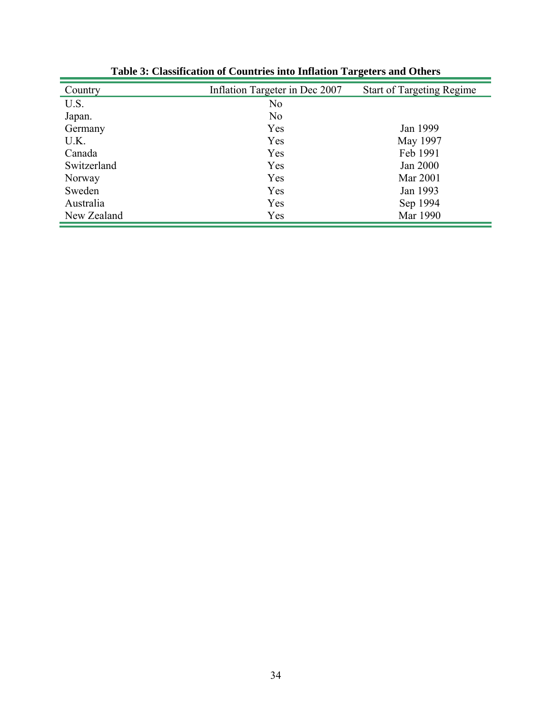| Country     | Inflation Targeter in Dec 2007 | <b>Start of Targeting Regime</b> |
|-------------|--------------------------------|----------------------------------|
| U.S.        | N <sub>0</sub>                 |                                  |
| Japan.      | N <sub>o</sub>                 |                                  |
| Germany     | Yes                            | Jan 1999                         |
| U.K.        | Yes                            | May 1997                         |
| Canada      | Yes                            | Feb 1991                         |
| Switzerland | Yes                            | Jan 2000                         |
| Norway      | Yes                            | Mar 2001                         |
| Sweden      | Yes                            | Jan 1993                         |
| Australia   | Yes                            | Sep 1994                         |
| New Zealand | Yes                            | Mar 1990                         |

**Table 3: Classification of Countries into Inflation Targeters and Others**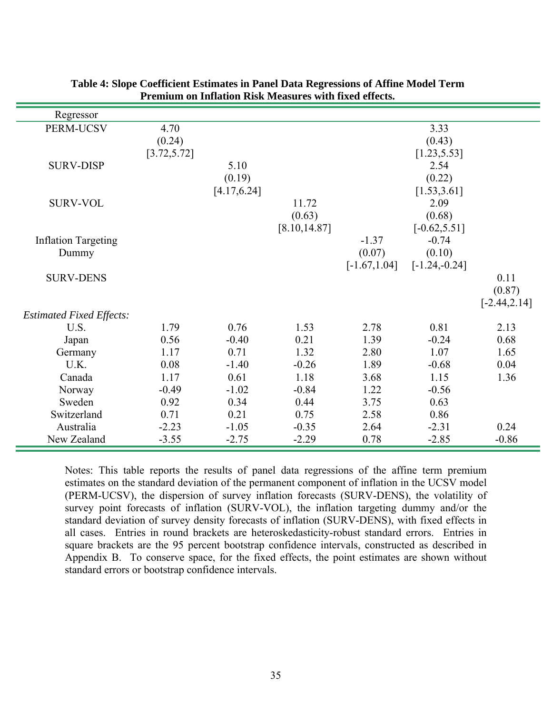| Regressor                               |              |              |               |                 |                 |                 |
|-----------------------------------------|--------------|--------------|---------------|-----------------|-----------------|-----------------|
| PERM-UCSV                               | 4.70         |              |               |                 | 3.33            |                 |
|                                         | (0.24)       |              |               |                 | (0.43)          |                 |
|                                         | [3.72, 5.72] |              |               |                 | [1.23, 5.53]    |                 |
| <b>SURV-DISP</b>                        |              | 5.10         |               |                 | 2.54            |                 |
|                                         |              | (0.19)       |               |                 | (0.22)          |                 |
|                                         |              | [4.17, 6.24] |               |                 | [1.53, 3.61]    |                 |
| <b>SURV-VOL</b>                         |              |              | 11.72         |                 | 2.09            |                 |
|                                         |              |              | (0.63)        |                 | (0.68)          |                 |
|                                         |              |              | [8.10, 14.87] |                 | $[-0.62, 5.51]$ |                 |
| <b>Inflation Targeting</b>              |              |              |               | $-1.37$         | $-0.74$         |                 |
| Dummy                                   |              |              |               | (0.07)          | (0.10)          |                 |
|                                         |              |              |               | $[-1.67, 1.04]$ | $[-1.24,-0.24]$ |                 |
| <b>SURV-DENS</b>                        |              |              |               |                 |                 | 0.11            |
|                                         |              |              |               |                 |                 | (0.87)          |
|                                         |              |              |               |                 |                 | $[-2.44, 2.14]$ |
| <b>Estimated Fixed Effects:</b><br>U.S. | 1.79         | 0.76         | 1.53          | 2.78            | 0.81            | 2.13            |
| Japan                                   | 0.56         | $-0.40$      | 0.21          | 1.39            | $-0.24$         | 0.68            |
| Germany                                 | 1.17         | 0.71         | 1.32          | 2.80            | 1.07            | 1.65            |
| U.K.                                    | 0.08         | $-1.40$      | $-0.26$       | 1.89            | $-0.68$         | 0.04            |
| Canada                                  | 1.17         | 0.61         | 1.18          | 3.68            | 1.15            | 1.36            |
| Norway                                  | $-0.49$      | $-1.02$      | $-0.84$       | 1.22            | $-0.56$         |                 |
| Sweden                                  | 0.92         | 0.34         | 0.44          | 3.75            | 0.63            |                 |
| Switzerland                             | 0.71         | 0.21         | 0.75          | 2.58            | 0.86            |                 |
| Australia                               | $-2.23$      | $-1.05$      | $-0.35$       | 2.64            | $-2.31$         | 0.24            |
| New Zealand                             | $-3.55$      | $-2.75$      | $-2.29$       | 0.78            | $-2.85$         | $-0.86$         |

## **Table 4: Slope Coefficient Estimates in Panel Data Regressions of Affine Model Term Premium on Inflation Risk Measures with fixed effects.**

Notes: This table reports the results of panel data regressions of the affine term premium estimates on the standard deviation of the permanent component of inflation in the UCSV model (PERM-UCSV), the dispersion of survey inflation forecasts (SURV-DENS), the volatility of survey point forecasts of inflation (SURV-VOL), the inflation targeting dummy and/or the standard deviation of survey density forecasts of inflation (SURV-DENS), with fixed effects in all cases. Entries in round brackets are heteroskedasticity-robust standard errors. Entries in square brackets are the 95 percent bootstrap confidence intervals, constructed as described in Appendix B. To conserve space, for the fixed effects, the point estimates are shown without standard errors or bootstrap confidence intervals.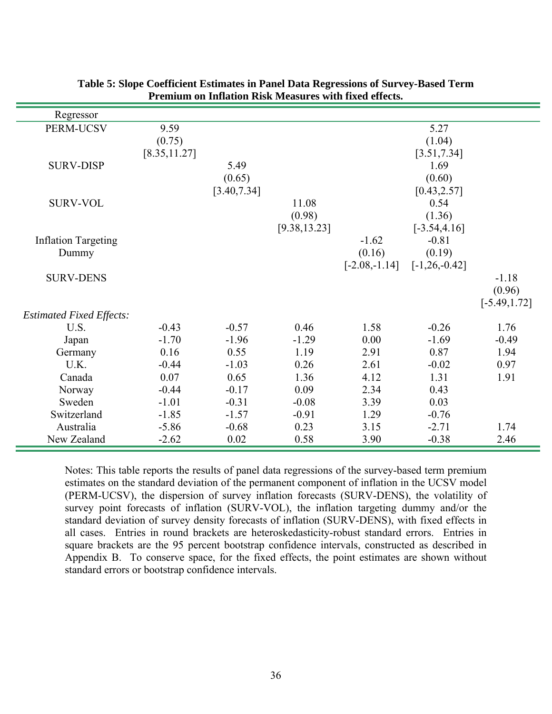| Regressor                               |               |              |               |                 |                   |                 |
|-----------------------------------------|---------------|--------------|---------------|-----------------|-------------------|-----------------|
| PERM-UCSV                               | 9.59          |              |               |                 | 5.27              |                 |
|                                         | (0.75)        |              |               |                 | (1.04)            |                 |
|                                         | [8.35, 11.27] |              |               |                 | [3.51, 7.34]      |                 |
| <b>SURV-DISP</b>                        |               | 5.49         |               |                 | 1.69              |                 |
|                                         |               | (0.65)       |               |                 | (0.60)            |                 |
|                                         |               | [3.40, 7.34] |               |                 | [0.43, 2.57]      |                 |
| <b>SURV-VOL</b>                         |               |              | 11.08         |                 | 0.54              |                 |
|                                         |               |              | (0.98)        |                 | (1.36)            |                 |
|                                         |               |              | [9.38, 13.23] |                 | $[-3.54, 4.16]$   |                 |
| <b>Inflation Targeting</b>              |               |              |               | $-1.62$         | $-0.81$           |                 |
| Dummy                                   |               |              |               | (0.16)          | (0.19)            |                 |
|                                         |               |              |               | $[-2.08,-1.14]$ | $[-1, 26, -0.42]$ |                 |
| <b>SURV-DENS</b>                        |               |              |               |                 |                   | $-1.18$         |
|                                         |               |              |               |                 |                   | (0.96)          |
|                                         |               |              |               |                 |                   | $[-5.49, 1.72]$ |
| <b>Estimated Fixed Effects:</b><br>U.S. | $-0.43$       | $-0.57$      | 0.46          | 1.58            | $-0.26$           | 1.76            |
|                                         | $-1.70$       | $-1.96$      | $-1.29$       | 0.00            | $-1.69$           | $-0.49$         |
| Japan<br>Germany                        | 0.16          | 0.55         | 1.19          | 2.91            | 0.87              | 1.94            |
| U.K.                                    | $-0.44$       | $-1.03$      | 0.26          | 2.61            | $-0.02$           | 0.97            |
| Canada                                  | 0.07          | 0.65         | 1.36          | 4.12            | 1.31              | 1.91            |
| Norway                                  | $-0.44$       | $-0.17$      | 0.09          | 2.34            | 0.43              |                 |
| Sweden                                  | $-1.01$       | $-0.31$      | $-0.08$       | 3.39            | 0.03              |                 |
| Switzerland                             | $-1.85$       | $-1.57$      | $-0.91$       | 1.29            | $-0.76$           |                 |
| Australia                               | $-5.86$       | $-0.68$      | 0.23          | 3.15            | $-2.71$           | 1.74            |
| New Zealand                             | $-2.62$       | 0.02         | 0.58          | 3.90            | $-0.38$           | 2.46            |

## **Table 5: Slope Coefficient Estimates in Panel Data Regressions of Survey-Based Term Premium on Inflation Risk Measures with fixed effects.**

Notes: This table reports the results of panel data regressions of the survey-based term premium estimates on the standard deviation of the permanent component of inflation in the UCSV model (PERM-UCSV), the dispersion of survey inflation forecasts (SURV-DENS), the volatility of survey point forecasts of inflation (SURV-VOL), the inflation targeting dummy and/or the standard deviation of survey density forecasts of inflation (SURV-DENS), with fixed effects in all cases. Entries in round brackets are heteroskedasticity-robust standard errors. Entries in square brackets are the 95 percent bootstrap confidence intervals, constructed as described in Appendix B. To conserve space, for the fixed effects, the point estimates are shown without standard errors or bootstrap confidence intervals.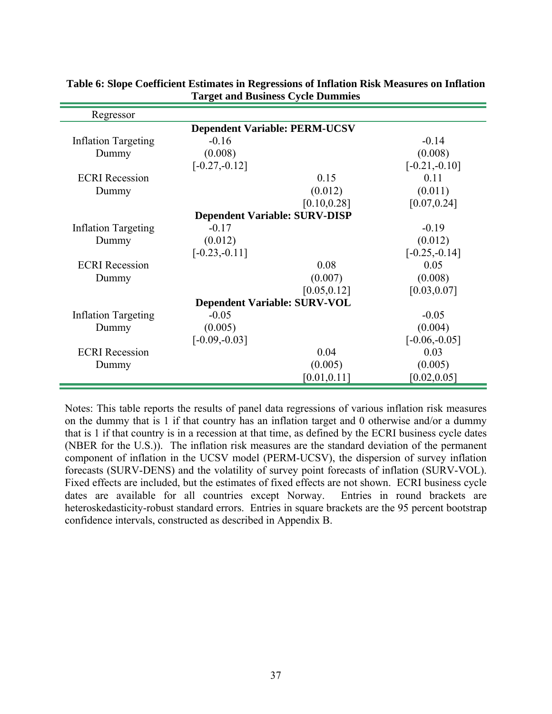| Regressor                            |                                      |              |                  |  |  |  |
|--------------------------------------|--------------------------------------|--------------|------------------|--|--|--|
| <b>Dependent Variable: PERM-UCSV</b> |                                      |              |                  |  |  |  |
| <b>Inflation Targeting</b>           | $-0.16$                              |              | $-0.14$          |  |  |  |
| Dummy                                | (0.008)                              |              | (0.008)          |  |  |  |
|                                      | $[-0.27,-0.12]$                      |              | $[-0.21,-0.10]$  |  |  |  |
| <b>ECRI</b> Recession                |                                      | 0.15         | 0.11             |  |  |  |
| Dummy                                |                                      | (0.012)      | (0.011)          |  |  |  |
|                                      |                                      | [0.10, 0.28] | [0.07, 0.24]     |  |  |  |
|                                      | <b>Dependent Variable: SURV-DISP</b> |              |                  |  |  |  |
| <b>Inflation Targeting</b>           | $-0.17$                              |              | $-0.19$          |  |  |  |
| Dummy                                | (0.012)                              |              | (0.012)          |  |  |  |
|                                      | $[-0.23,-0.11]$                      |              | $[-0.25, -0.14]$ |  |  |  |
| <b>ECRI</b> Recession                |                                      | 0.08         | 0.05             |  |  |  |
| Dummy                                |                                      | (0.007)      | (0.008)          |  |  |  |
|                                      |                                      | [0.05, 0.12] | [0.03, 0.07]     |  |  |  |
| <b>Dependent Variable: SURV-VOL</b>  |                                      |              |                  |  |  |  |
| <b>Inflation Targeting</b>           | $-0.05$                              |              | $-0.05$          |  |  |  |
| Dummy                                | (0.005)                              |              | (0.004)          |  |  |  |
|                                      | $[-0.09,-0.03]$                      |              | $[-0.06,-0.05]$  |  |  |  |
| <b>ECRI</b> Recession                |                                      | 0.04         | 0.03             |  |  |  |
| Dummy                                |                                      | (0.005)      | (0.005)          |  |  |  |
|                                      |                                      | [0.01, 0.11] | [0.02, 0.05]     |  |  |  |

# **Table 6: Slope Coefficient Estimates in Regressions of Inflation Risk Measures on Inflation Target and Business Cycle Dummies**

Notes: This table reports the results of panel data regressions of various inflation risk measures on the dummy that is 1 if that country has an inflation target and 0 otherwise and/or a dummy that is 1 if that country is in a recession at that time, as defined by the ECRI business cycle dates (NBER for the U.S.)). The inflation risk measures are the standard deviation of the permanent component of inflation in the UCSV model (PERM-UCSV), the dispersion of survey inflation forecasts (SURV-DENS) and the volatility of survey point forecasts of inflation (SURV-VOL). Fixed effects are included, but the estimates of fixed effects are not shown. ECRI business cycle dates are available for all countries except Norway. Entries in round brackets are heteroskedasticity-robust standard errors. Entries in square brackets are the 95 percent bootstrap confidence intervals, constructed as described in Appendix B.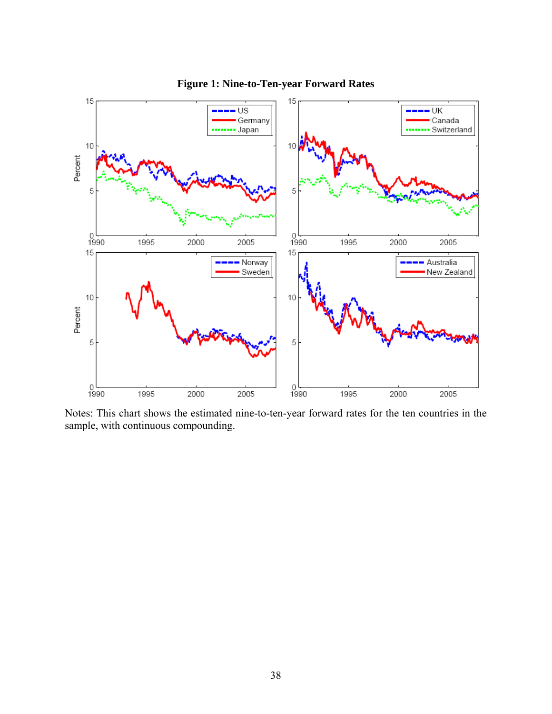

**Figure 1: Nine-to-Ten-year Forward Rates** 

Notes: This chart shows the estimated nine-to-ten-year forward rates for the ten countries in the sample, with continuous compounding.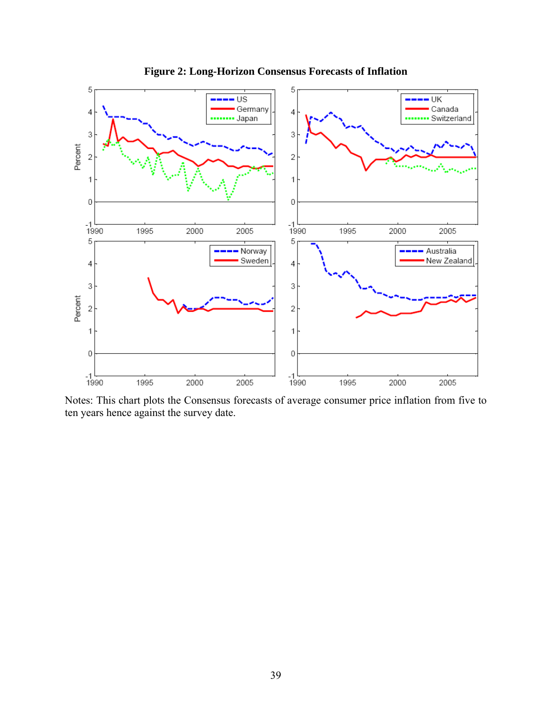

**Figure 2: Long-Horizon Consensus Forecasts of Inflation** 

Notes: This chart plots the Consensus forecasts of average consumer price inflation from five to ten years hence against the survey date.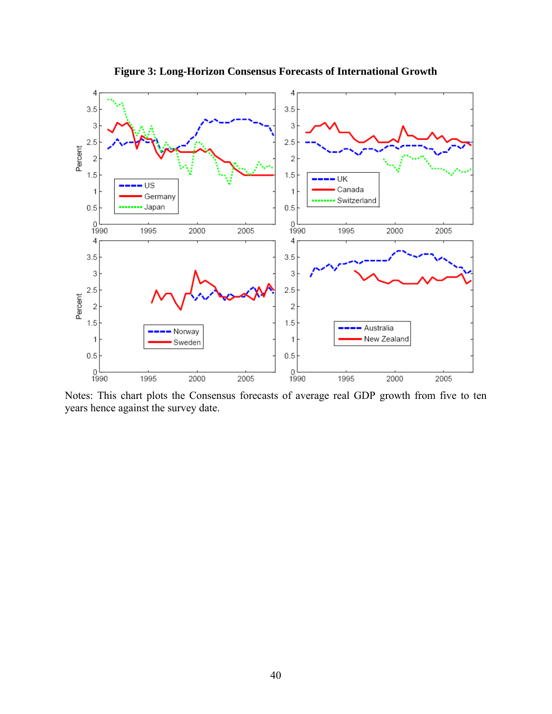

**Figure 3: Long-Horizon Consensus Forecasts of International Growth** 

Notes: This chart plots the Consensus forecasts of average real GDP growth from five to ten years hence against the survey date.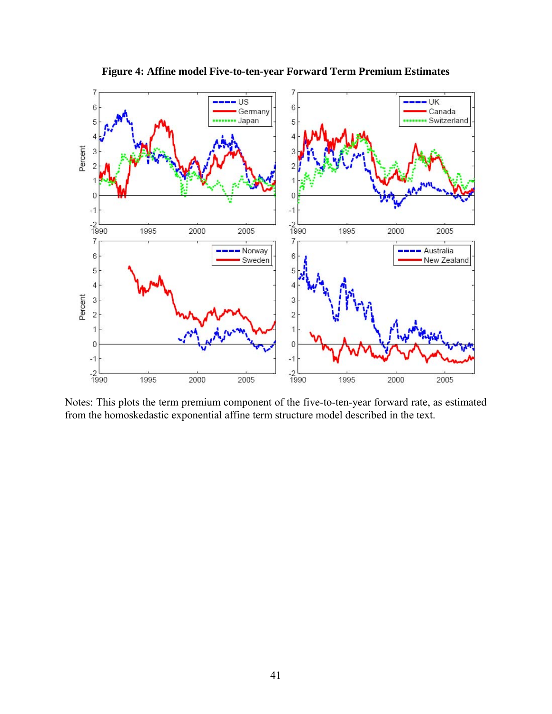

**Figure 4: Affine model Five-to-ten-year Forward Term Premium Estimates** 

Notes: This plots the term premium component of the five-to-ten-year forward rate, as estimated from the homoskedastic exponential affine term structure model described in the text.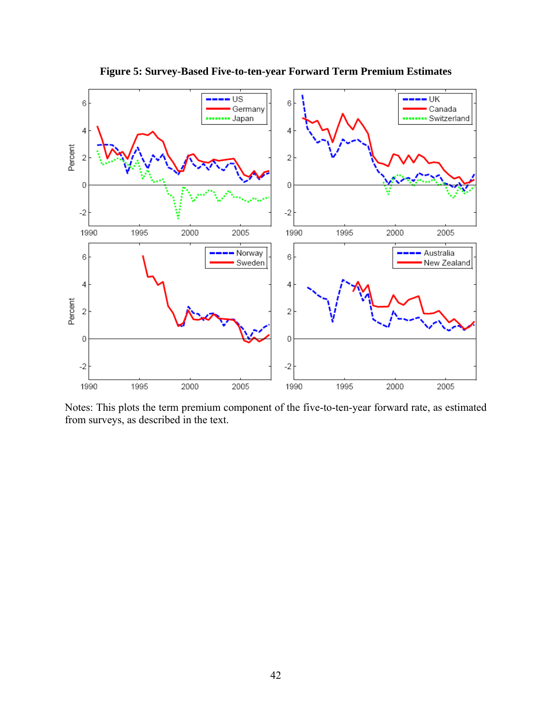

**Figure 5: Survey-Based Five-to-ten-year Forward Term Premium Estimates** 

Notes: This plots the term premium component of the five-to-ten-year forward rate, as estimated from surveys, as described in the text.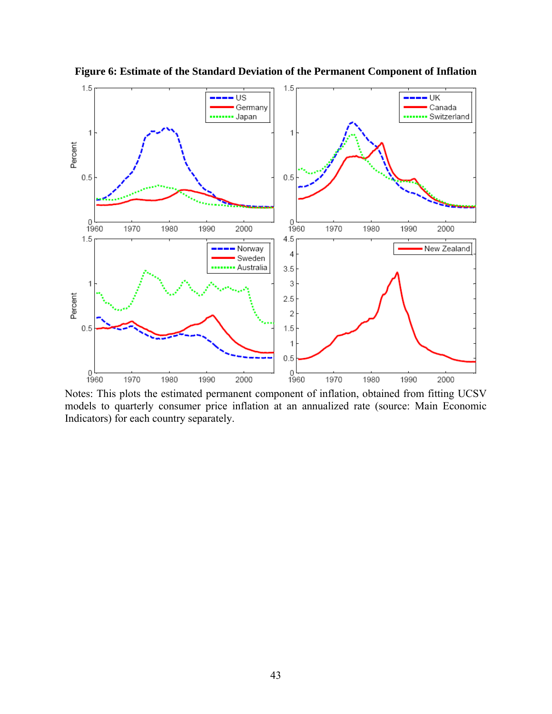

**Figure 6: Estimate of the Standard Deviation of the Permanent Component of Inflation** 

Notes: This plots the estimated permanent component of inflation, obtained from fitting UCSV models to quarterly consumer price inflation at an annualized rate (source: Main Economic Indicators) for each country separately.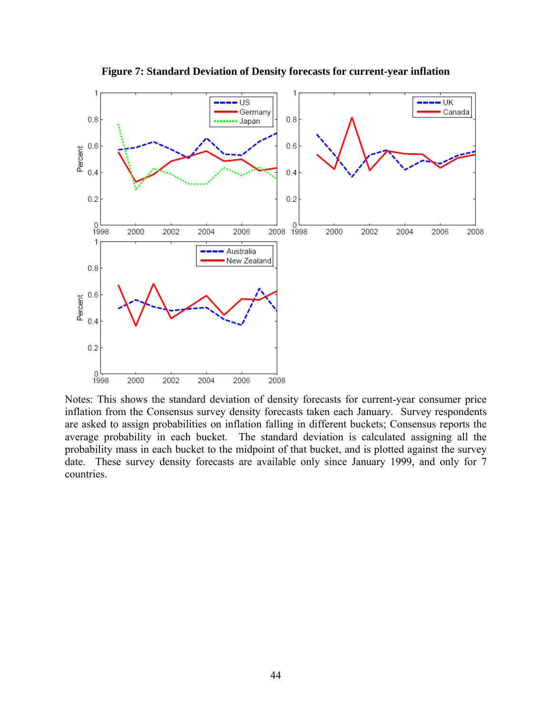

**Figure 7: Standard Deviation of Density forecasts for current-year inflation** 

inflation from the Consensus survey density forecasts taken each January. Survey respondents are asked to assign probabilities on inflation falling in different buckets; Consensus reports the average probability in each bucket. The standard deviation is calculated assigning all the probability mass in each bucket to the midpoint of that bucket, and is plotted against the survey date. These survey density forecasts are available only since January 1999, and only for 7 countries.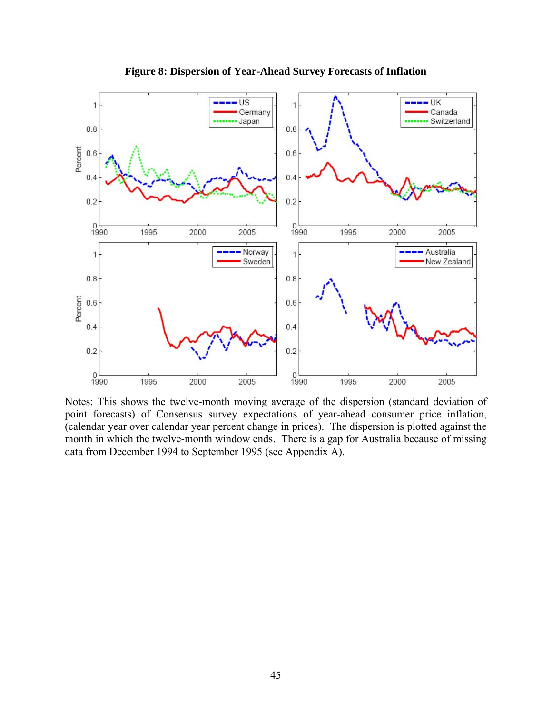

**Figure 8: Dispersion of Year-Ahead Survey Forecasts of Inflation** 

Notes: This shows the twelve-month moving average of the dispersion (standard deviation of point forecasts) of Consensus survey expectations of year-ahead consumer price inflation, (calendar year over calendar year percent change in prices). The dispersion is plotted against the month in which the twelve-month window ends. There is a gap for Australia because of missing data from December 1994 to September 1995 (see Appendix A).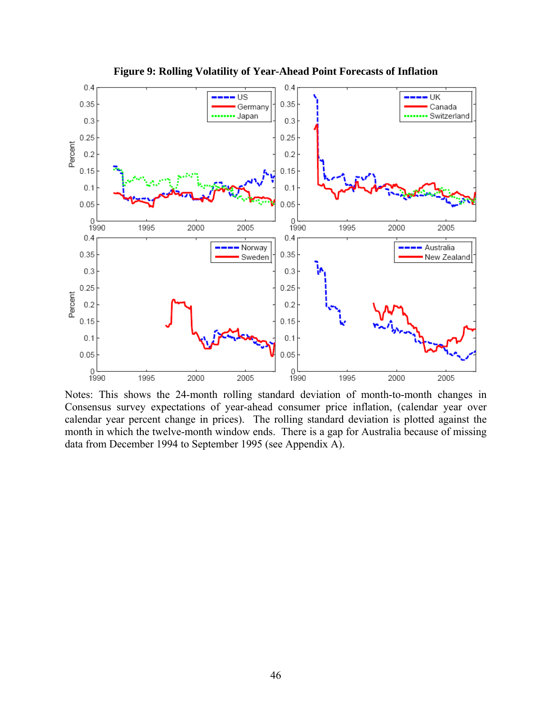

**Figure 9: Rolling Volatility of Year-Ahead Point Forecasts of Inflation** 

Notes: This shows the 24-month rolling standard deviation of month-to-month changes in Consensus survey expectations of year-ahead consumer price inflation, (calendar year over calendar year percent change in prices). The rolling standard deviation is plotted against the month in which the twelve-month window ends. There is a gap for Australia because of missing data from December 1994 to September 1995 (see Appendix A).